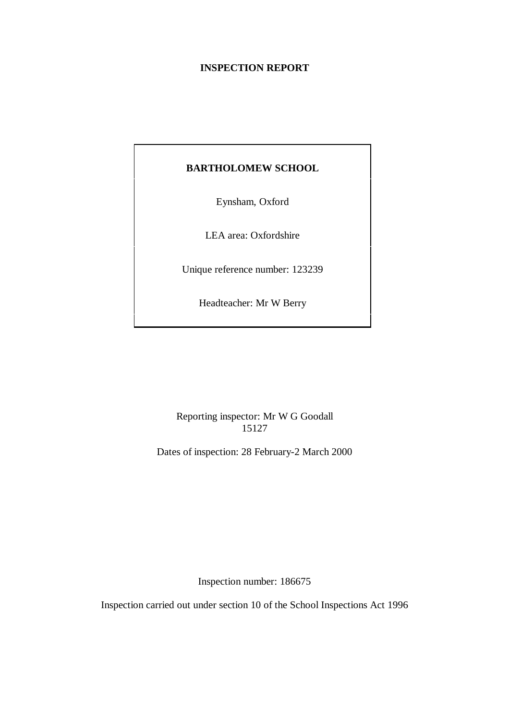# **INSPECTION REPORT**

# **BARTHOLOMEW SCHOOL**

Eynsham, Oxford

LEA area: Oxfordshire

Unique reference number: 123239

Headteacher: Mr W Berry

Reporting inspector: Mr W G Goodall 15127

Dates of inspection: 28 February-2 March 2000

Inspection number: 186675

Inspection carried out under section 10 of the School Inspections Act 1996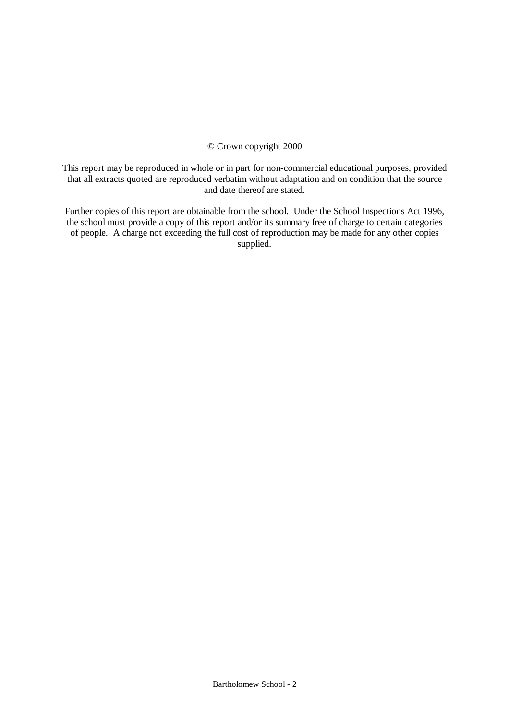## © Crown copyright 2000

This report may be reproduced in whole or in part for non-commercial educational purposes, provided that all extracts quoted are reproduced verbatim without adaptation and on condition that the source and date thereof are stated.

Further copies of this report are obtainable from the school. Under the School Inspections Act 1996, the school must provide a copy of this report and/or its summary free of charge to certain categories of people. A charge not exceeding the full cost of reproduction may be made for any other copies supplied.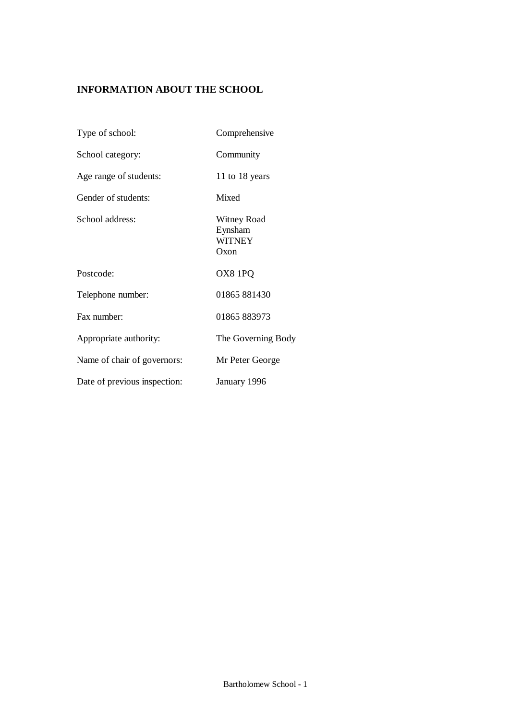# **INFORMATION ABOUT THE SCHOOL**

| Type of school:              | Comprehensive                                   |
|------------------------------|-------------------------------------------------|
| School category:             | Community                                       |
| Age range of students:       | 11 to 18 years                                  |
| Gender of students:          | Mixed                                           |
| School address:              | Witney Road<br>Eynsham<br><b>WITNEY</b><br>Oxon |
| Postcode:                    | OX8 1PQ                                         |
| Telephone number:            | 01865 881430                                    |
| Fax number:                  | 01865 883973                                    |
| Appropriate authority:       | The Governing Body                              |
| Name of chair of governors:  | Mr Peter George                                 |
| Date of previous inspection: | January 1996                                    |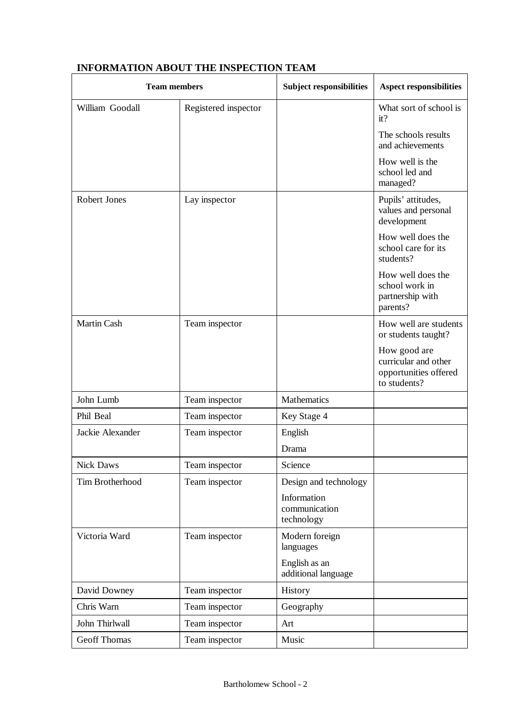| <b>Team members</b> |                      | <b>Subject responsibilities</b>            | <b>Aspect responsibilities</b>                                                |
|---------------------|----------------------|--------------------------------------------|-------------------------------------------------------------------------------|
| William Goodall     | Registered inspector |                                            | What sort of school is<br>it?                                                 |
|                     |                      |                                            | The schools results<br>and achievements                                       |
|                     |                      |                                            | How well is the<br>school led and<br>managed?                                 |
| <b>Robert Jones</b> | Lay inspector        |                                            | Pupils' attitudes,<br>values and personal<br>development                      |
|                     |                      |                                            | How well does the<br>school care for its<br>students?                         |
|                     |                      |                                            | How well does the<br>school work in<br>partnership with<br>parents?           |
| <b>Martin Cash</b>  | Team inspector       |                                            | How well are students<br>or students taught?                                  |
|                     |                      |                                            | How good are<br>curricular and other<br>opportunities offered<br>to students? |
| John Lumb           | Team inspector       | Mathematics                                |                                                                               |
| Phil Beal           | Team inspector       | Key Stage 4                                |                                                                               |
| Jackie Alexander    | Team inspector       | English                                    |                                                                               |
|                     |                      | Drama                                      |                                                                               |
| <b>Nick Daws</b>    | Team inspector       | Science                                    |                                                                               |
| Tim Brotherhood     | Team inspector       | Design and technology                      |                                                                               |
|                     |                      | Information<br>communication<br>technology |                                                                               |
| Victoria Ward       | Team inspector       | Modern foreign<br>languages                |                                                                               |
|                     |                      | English as an<br>additional language       |                                                                               |
| David Downey        | Team inspector       | History                                    |                                                                               |
| Chris Warn          | Team inspector       | Geography                                  |                                                                               |
| John Thirlwall      | Team inspector       | Art                                        |                                                                               |
| <b>Geoff Thomas</b> | Team inspector       | Music                                      |                                                                               |

# **INFORMATION ABOUT THE INSPECTION TEAM**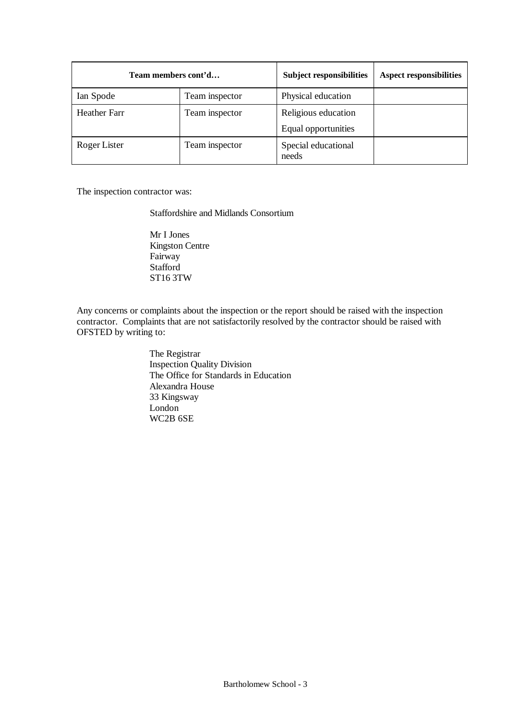| Team members cont'd |                | <b>Subject responsibilities</b> | <b>Aspect responsibilities</b> |
|---------------------|----------------|---------------------------------|--------------------------------|
| Ian Spode           | Team inspector | Physical education              |                                |
| <b>Heather Farr</b> | Team inspector | Religious education             |                                |
|                     |                | Equal opportunities             |                                |
| Roger Lister        | Team inspector | Special educational<br>needs    |                                |

The inspection contractor was:

Staffordshire and Midlands Consortium

Mr I Jones Kingston Centre Fairway Stafford ST16 3TW

Any concerns or complaints about the inspection or the report should be raised with the inspection contractor. Complaints that are not satisfactorily resolved by the contractor should be raised with OFSTED by writing to:

> The Registrar Inspection Quality Division The Office for Standards in Education Alexandra House 33 Kingsway London WC2B 6SE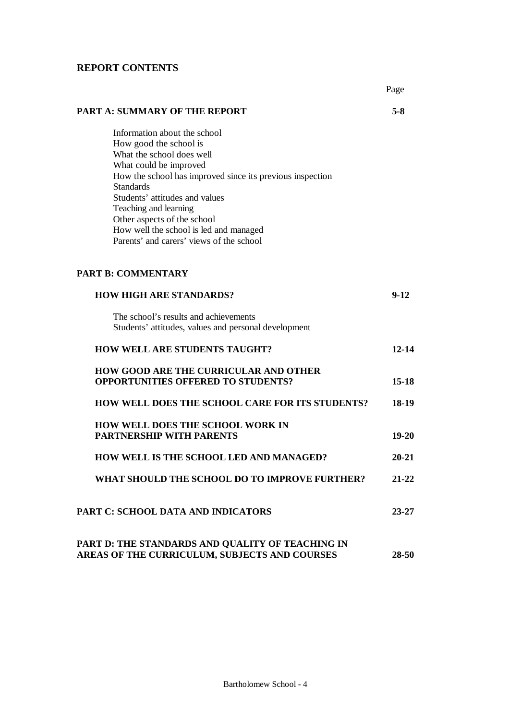# **REPORT CONTENTS**

|                                                                                                                                                                                                                                                                                                                                                                                | Page      |
|--------------------------------------------------------------------------------------------------------------------------------------------------------------------------------------------------------------------------------------------------------------------------------------------------------------------------------------------------------------------------------|-----------|
| <b>PART A: SUMMARY OF THE REPORT</b>                                                                                                                                                                                                                                                                                                                                           | $5-8$     |
| Information about the school<br>How good the school is<br>What the school does well<br>What could be improved<br>How the school has improved since its previous inspection<br><b>Standards</b><br>Students' attitudes and values<br>Teaching and learning<br>Other aspects of the school<br>How well the school is led and managed<br>Parents' and carers' views of the school |           |
| <b>PART B: COMMENTARY</b>                                                                                                                                                                                                                                                                                                                                                      |           |
| <b>HOW HIGH ARE STANDARDS?</b>                                                                                                                                                                                                                                                                                                                                                 | $9 - 12$  |
| The school's results and achievements<br>Students' attitudes, values and personal development                                                                                                                                                                                                                                                                                  |           |
| <b>HOW WELL ARE STUDENTS TAUGHT?</b>                                                                                                                                                                                                                                                                                                                                           | $12 - 14$ |
| <b>HOW GOOD ARE THE CURRICULAR AND OTHER</b><br><b>OPPORTUNITIES OFFERED TO STUDENTS?</b>                                                                                                                                                                                                                                                                                      | $15 - 18$ |
| HOW WELL DOES THE SCHOOL CARE FOR ITS STUDENTS?                                                                                                                                                                                                                                                                                                                                | 18-19     |
| <b>HOW WELL DOES THE SCHOOL WORK IN</b><br><b>PARTNERSHIP WITH PARENTS</b>                                                                                                                                                                                                                                                                                                     | $19 - 20$ |
| HOW WELL IS THE SCHOOL LED AND MANAGED?                                                                                                                                                                                                                                                                                                                                        | $20 - 21$ |
| WHAT SHOULD THE SCHOOL DO TO IMPROVE FURTHER?                                                                                                                                                                                                                                                                                                                                  | $21 - 22$ |
| <b>PART C: SCHOOL DATA AND INDICATORS</b>                                                                                                                                                                                                                                                                                                                                      | $23 - 27$ |
| PART D: THE STANDARDS AND QUALITY OF TEACHING IN                                                                                                                                                                                                                                                                                                                               |           |

Bartholomew School - 4

**AREAS OF THE CURRICULUM, SUBJECTS AND COURSES 28-50**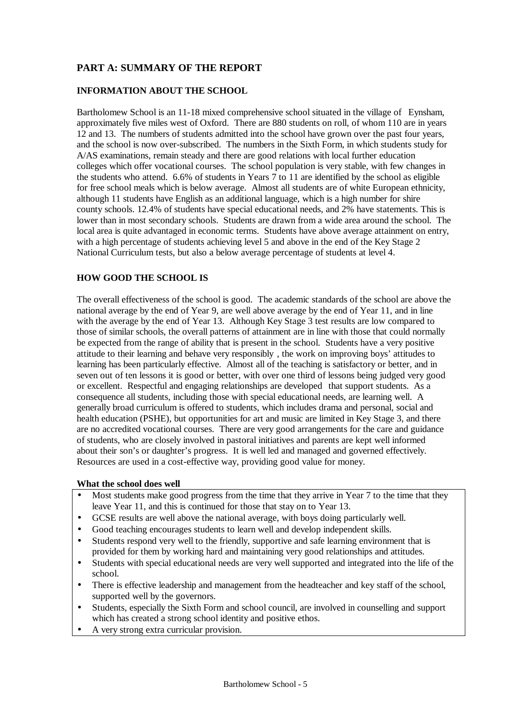# **PART A: SUMMARY OF THE REPORT**

# **INFORMATION ABOUT THE SCHOOL**

Bartholomew School is an 11-18 mixed comprehensive school situated in the village of Eynsham, approximately five miles west of Oxford. There are 880 students on roll, of whom 110 are in years 12 and 13. The numbers of students admitted into the school have grown over the past four years, and the school is now over-subscribed. The numbers in the Sixth Form, in which students study for A/AS examinations, remain steady and there are good relations with local further education colleges which offer vocational courses. The school population is very stable, with few changes in the students who attend. 6.6% of students in Years 7 to 11 are identified by the school as eligible for free school meals which is below average. Almost all students are of white European ethnicity, although 11 students have English as an additional language, which is a high number for shire county schools. 12.4% of students have special educational needs, and 2% have statements. This is lower than in most secondary schools. Students are drawn from a wide area around the school. The local area is quite advantaged in economic terms. Students have above average attainment on entry, with a high percentage of students achieving level 5 and above in the end of the Key Stage 2 National Curriculum tests, but also a below average percentage of students at level 4.

# **HOW GOOD THE SCHOOL IS**

The overall effectiveness of the school is good. The academic standards of the school are above the national average by the end of Year 9, are well above average by the end of Year 11, and in line with the average by the end of Year 13. Although Key Stage 3 test results are low compared to those of similar schools, the overall patterns of attainment are in line with those that could normally be expected from the range of ability that is present in the school. Students have a very positive attitude to their learning and behave very responsibly , the work on improving boys' attitudes to learning has been particularly effective. Almost all of the teaching is satisfactory or better, and in seven out of ten lessons it is good or better, with over one third of lessons being judged very good or excellent. Respectful and engaging relationships are developed that support students. As a consequence all students, including those with special educational needs, are learning well. A generally broad curriculum is offered to students, which includes drama and personal, social and health education (PSHE), but opportunities for art and music are limited in Key Stage 3, and there are no accredited vocational courses. There are very good arrangements for the care and guidance of students, who are closely involved in pastoral initiatives and parents are kept well informed about their son's or daughter's progress. It is well led and managed and governed effectively. Resources are used in a cost-effective way, providing good value for money.

## **What the school does well**

- Most students make good progress from the time that they arrive in Year 7 to the time that they leave Year 11, and this is continued for those that stay on to Year 13.
- GCSE results are well above the national average, with boys doing particularly well.
- Good teaching encourages students to learn well and develop independent skills.
- Students respond very well to the friendly, supportive and safe learning environment that is provided for them by working hard and maintaining very good relationships and attitudes.
- Students with special educational needs are very well supported and integrated into the life of the school.
- There is effective leadership and management from the headteacher and key staff of the school, supported well by the governors.
- Students, especially the Sixth Form and school council, are involved in counselling and support which has created a strong school identity and positive ethos.
- A very strong extra curricular provision.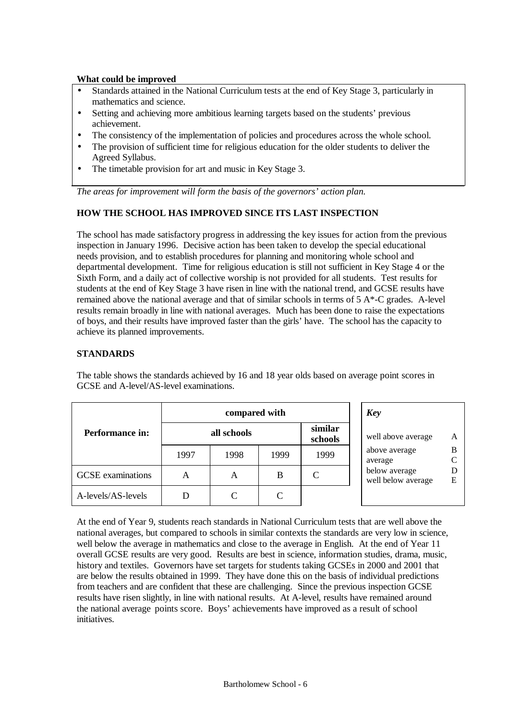## **What could be improved**

- Standards attained in the National Curriculum tests at the end of Key Stage 3, particularly in mathematics and science.
- Setting and achieving more ambitious learning targets based on the students' previous achievement.
- The consistency of the implementation of policies and procedures across the whole school.
- The provision of sufficient time for religious education for the older students to deliver the Agreed Syllabus.
- The timetable provision for art and music in Key Stage 3.

*The areas for improvement will form the basis of the governors' action plan.*

# **HOW THE SCHOOL HAS IMPROVED SINCE ITS LAST INSPECTION**

The school has made satisfactory progress in addressing the key issues for action from the previous inspection in January 1996. Decisive action has been taken to develop the special educational needs provision, and to establish procedures for planning and monitoring whole school and departmental development. Time for religious education is still not sufficient in Key Stage 4 or the Sixth Form, and a daily act of collective worship is not provided for all students. Test results for students at the end of Key Stage 3 have risen in line with the national trend, and GCSE results have remained above the national average and that of similar schools in terms of 5 A\*-C grades. A-level results remain broadly in line with national averages. Much has been done to raise the expectations of boys, and their results have improved faster than the girls' have. The school has the capacity to achieve its planned improvements.

# **STANDARDS**

|                          | compared with |      |      |                    | <b>Key</b>                          |                   |
|--------------------------|---------------|------|------|--------------------|-------------------------------------|-------------------|
| <b>Performance in:</b>   | all schools   |      |      | similar<br>schools | well above average                  | A                 |
|                          | 1997          | 1998 | 1999 | 1999               | above average<br>average            | B<br>$\mathcal C$ |
| <b>GCSE</b> examinations | A             | А    | B    |                    | below average<br>well below average | D<br>E            |
| A-levels/AS-levels       | D             |      | C    |                    |                                     |                   |

The table shows the standards achieved by 16 and 18 year olds based on average point scores in GCSE and A-level/AS-level examinations.

> B C

> D E

At the end of Year 9, students reach standards in National Curriculum tests that are well above the national averages, but compared to schools in similar contexts the standards are very low in science, well below the average in mathematics and close to the average in English. At the end of Year 11 overall GCSE results are very good. Results are best in science, information studies, drama, music, history and textiles. Governors have set targets for students taking GCSEs in 2000 and 2001 that are below the results obtained in 1999. They have done this on the basis of individual predictions from teachers and are confident that these are challenging. Since the previous inspection GCSE results have risen slightly, in line with national results. At A-level, results have remained around the national average points score. Boys' achievements have improved as a result of school initiatives.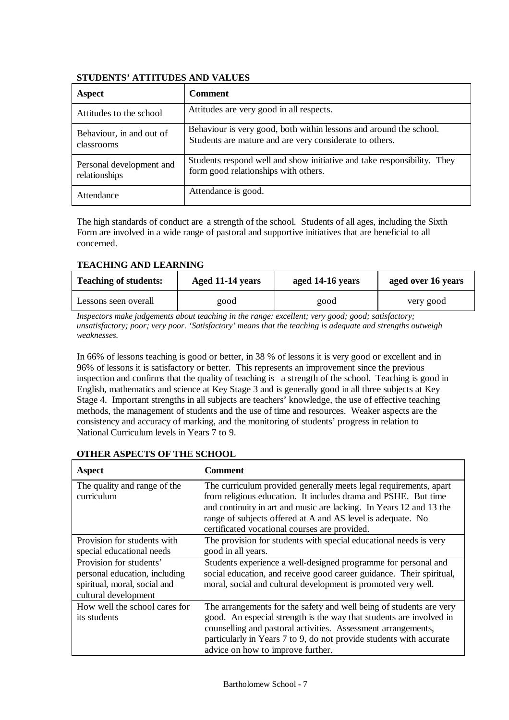# **STUDENTS' ATTITUDES AND VALUES**

| Aspect                                    | <b>Comment</b>                                                                                                                |
|-------------------------------------------|-------------------------------------------------------------------------------------------------------------------------------|
| Attitudes to the school                   | Attitudes are very good in all respects.                                                                                      |
| Behaviour, in and out of<br>classrooms    | Behaviour is very good, both within lessons and around the school.<br>Students are mature and are very considerate to others. |
| Personal development and<br>relationships | Students respond well and show initiative and take responsibility. They<br>form good relationships with others.               |
| Attendance                                | Attendance is good.                                                                                                           |

The high standards of conduct are a strength of the school. Students of all ages, including the Sixth Form are involved in a wide range of pastoral and supportive initiatives that are beneficial to all concerned.

# **TEACHING AND LEARNING**

| <b>Teaching of students:</b> | Aged 11-14 years | aged 14-16 years | aged over 16 years |  |
|------------------------------|------------------|------------------|--------------------|--|
| Lessons seen overall         | good             | good             | very good          |  |

*Inspectors make judgements about teaching in the range: excellent; very good; good; satisfactory; unsatisfactory; poor; very poor. 'Satisfactory' means that the teaching is adequate and strengths outweigh weaknesses.*

In 66% of lessons teaching is good or better, in 38 % of lessons it is very good or excellent and in 96% of lessons it is satisfactory or better. This represents an improvement since the previous inspection and confirms that the quality of teaching is a strength of the school. Teaching is good in English, mathematics and science at Key Stage 3 and is generally good in all three subjects at Key Stage 4. Important strengths in all subjects are teachers' knowledge, the use of effective teaching methods, the management of students and the use of time and resources. Weaker aspects are the consistency and accuracy of marking, and the monitoring of students' progress in relation to National Curriculum levels in Years 7 to 9.

# **OTHER ASPECTS OF THE SCHOOL**

| Aspect                        | <b>Comment</b>                                                       |
|-------------------------------|----------------------------------------------------------------------|
| The quality and range of the  | The curriculum provided generally meets legal requirements, apart    |
| curriculum                    | from religious education. It includes drama and PSHE. But time       |
|                               | and continuity in art and music are lacking. In Years 12 and 13 the  |
|                               | range of subjects offered at A and AS level is adequate. No          |
|                               | certificated vocational courses are provided.                        |
| Provision for students with   | The provision for students with special educational needs is very    |
| special educational needs     | good in all years.                                                   |
| Provision for students'       | Students experience a well-designed programme for personal and       |
| personal education, including | social education, and receive good career guidance. Their spiritual, |
| spiritual, moral, social and  | moral, social and cultural development is promoted very well.        |
| cultural development          |                                                                      |
| How well the school cares for | The arrangements for the safety and well being of students are very  |
| its students                  | good. An especial strength is the way that students are involved in  |
|                               | counselling and pastoral activities. Assessment arrangements,        |
|                               | particularly in Years 7 to 9, do not provide students with accurate  |
|                               | advice on how to improve further.                                    |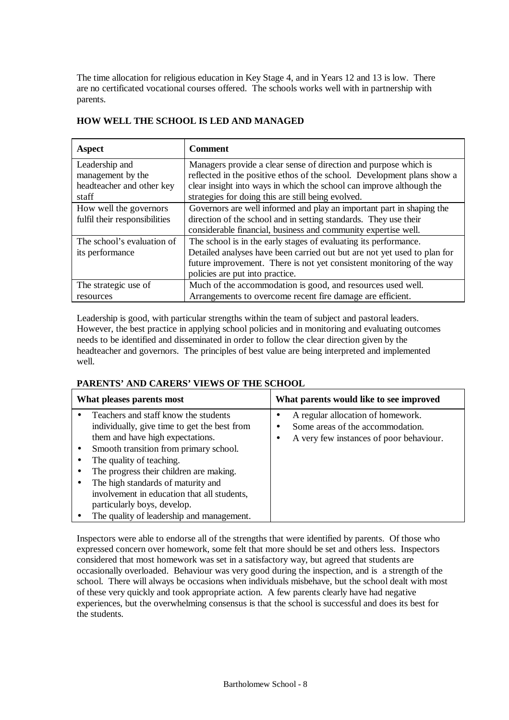The time allocation for religious education in Key Stage 4, and in Years 12 and 13 is low. There are no certificated vocational courses offered. The schools works well with in partnership with parents.

| Aspect                        | <b>Comment</b>                                                           |
|-------------------------------|--------------------------------------------------------------------------|
| Leadership and                | Managers provide a clear sense of direction and purpose which is         |
| management by the             | reflected in the positive ethos of the school. Development plans show a  |
| headteacher and other key     | clear insight into ways in which the school can improve although the     |
| staff                         | strategies for doing this are still being evolved.                       |
| How well the governors        | Governors are well informed and play an important part in shaping the    |
| fulfil their responsibilities | direction of the school and in setting standards. They use their         |
|                               | considerable financial, business and community expertise well.           |
| The school's evaluation of    | The school is in the early stages of evaluating its performance.         |
| its performance               | Detailed analyses have been carried out but are not yet used to plan for |
|                               | future improvement. There is not yet consistent monitoring of the way    |
|                               | policies are put into practice.                                          |
| The strategic use of          | Much of the accommodation is good, and resources used well.              |
| resources                     | Arrangements to overcome recent fire damage are efficient.               |

# **HOW WELL THE SCHOOL IS LED AND MANAGED**

Leadership is good, with particular strengths within the team of subject and pastoral leaders. However, the best practice in applying school policies and in monitoring and evaluating outcomes needs to be identified and disseminated in order to follow the clear direction given by the headteacher and governors. The principles of best value are being interpreted and implemented well.

## **PARENTS' AND CARERS' VIEWS OF THE SCHOOL**

| What pleases parents most                                                                                                                                                                                                                                                                                                                                                                                  | What parents would like to see improved                                                                          |  |  |  |  |
|------------------------------------------------------------------------------------------------------------------------------------------------------------------------------------------------------------------------------------------------------------------------------------------------------------------------------------------------------------------------------------------------------------|------------------------------------------------------------------------------------------------------------------|--|--|--|--|
| Teachers and staff know the students<br>individually, give time to get the best from<br>them and have high expectations.<br>Smooth transition from primary school.<br>The quality of teaching.<br>The progress their children are making.<br>The high standards of maturity and<br>involvement in education that all students,<br>particularly boys, develop.<br>The quality of leadership and management. | A regular allocation of homework.<br>Some areas of the accommodation.<br>A very few instances of poor behaviour. |  |  |  |  |

Inspectors were able to endorse all of the strengths that were identified by parents. Of those who expressed concern over homework, some felt that more should be set and others less. Inspectors considered that most homework was set in a satisfactory way, but agreed that students are occasionally overloaded. Behaviour was very good during the inspection, and is a strength of the school. There will always be occasions when individuals misbehave, but the school dealt with most of these very quickly and took appropriate action. A few parents clearly have had negative experiences, but the overwhelming consensus is that the school is successful and does its best for the students.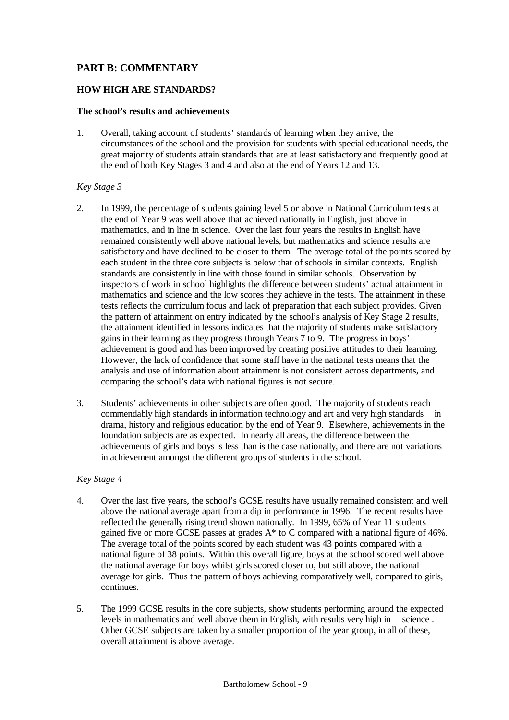# **PART B: COMMENTARY**

## **HOW HIGH ARE STANDARDS?**

## **The school's results and achievements**

1. Overall, taking account of students' standards of learning when they arrive, the circumstances of the school and the provision for students with special educational needs, the great majority of students attain standards that are at least satisfactory and frequently good at the end of both Key Stages 3 and 4 and also at the end of Years 12 and 13.

## *Key Stage 3*

- 2. In 1999, the percentage of students gaining level 5 or above in National Curriculum tests at the end of Year 9 was well above that achieved nationally in English, just above in mathematics, and in line in science. Over the last four years the results in English have remained consistently well above national levels, but mathematics and science results are satisfactory and have declined to be closer to them. The average total of the points scored by each student in the three core subjects is below that of schools in similar contexts. English standards are consistently in line with those found in similar schools. Observation by inspectors of work in school highlights the difference between students' actual attainment in mathematics and science and the low scores they achieve in the tests. The attainment in these tests reflects the curriculum focus and lack of preparation that each subject provides. Given the pattern of attainment on entry indicated by the school's analysis of Key Stage 2 results, the attainment identified in lessons indicates that the majority of students make satisfactory gains in their learning as they progress through Years 7 to 9. The progress in boys' achievement is good and has been improved by creating positive attitudes to their learning. However, the lack of confidence that some staff have in the national tests means that the analysis and use of information about attainment is not consistent across departments, and comparing the school's data with national figures is not secure.
- 3. Students' achievements in other subjects are often good. The majority of students reach commendably high standards in information technology and art and very high standards in drama, history and religious education by the end of Year 9. Elsewhere, achievements in the foundation subjects are as expected. In nearly all areas, the difference between the achievements of girls and boys is less than is the case nationally, and there are not variations in achievement amongst the different groups of students in the school.

## *Key Stage 4*

- 4. Over the last five years, the school's GCSE results have usually remained consistent and well above the national average apart from a dip in performance in 1996. The recent results have reflected the generally rising trend shown nationally. In 1999, 65% of Year 11 students gained five or more GCSE passes at grades A\* to C compared with a national figure of 46%. The average total of the points scored by each student was 43 points compared with a national figure of 38 points. Within this overall figure, boys at the school scored well above the national average for boys whilst girls scored closer to, but still above, the national average for girls. Thus the pattern of boys achieving comparatively well, compared to girls, continues.
- 5. The 1999 GCSE results in the core subjects, show students performing around the expected levels in mathematics and well above them in English, with results very high in science . Other GCSE subjects are taken by a smaller proportion of the year group, in all of these, overall attainment is above average.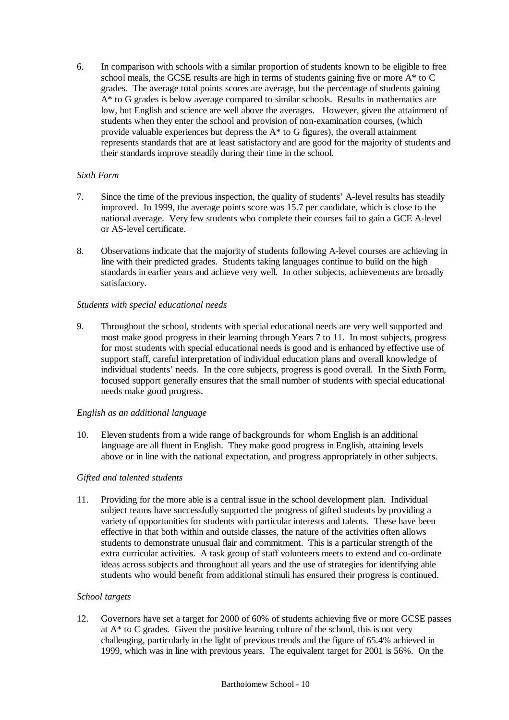6. In comparison with schools with a similar proportion of students known to be eligible to free school meals, the GCSE results are high in terms of students gaining five or more A\* to C grades. The average total points scores are average, but the percentage of students gaining A\* to G grades is below average compared to similar schools. Results in mathematics are low, but English and science are well above the averages. However, given the attainment of students when they enter the school and provision of non-examination courses, (which provide valuable experiences but depress the  $A^*$  to G figures), the overall attainment represents standards that are at least satisfactory and are good for the majority of students and their standards improve steadily during their time in the school.

# *Sixth Form*

- 7. Since the time of the previous inspection, the quality of students' A-level results has steadily improved. In 1999, the average points score was 15.7 per candidate, which is close to the national average. Very few students who complete their courses fail to gain a GCE A-level or AS-level certificate.
- 8. Observations indicate that the majority of students following A-level courses are achieving in line with their predicted grades. Students taking languages continue to build on the high standards in earlier years and achieve very well. In other subjects, achievements are broadly satisfactory.

## *Students with special educational needs*

9. Throughout the school, students with special educational needs are very well supported and most make good progress in their learning through Years 7 to 11. In most subjects, progress for most students with special educational needs is good and is enhanced by effective use of support staff, careful interpretation of individual education plans and overall knowledge of individual students' needs. In the core subjects, progress is good overall. In the Sixth Form, focused support generally ensures that the small number of students with special educational needs make good progress.

## *English as an additional language*

10. Eleven students from a wide range of backgrounds for whom English is an additional language are all fluent in English. They make good progress in English, attaining levels above or in line with the national expectation, and progress appropriately in other subjects.

## *Gifted and talented students*

11. Providing for the more able is a central issue in the school development plan. Individual subject teams have successfully supported the progress of gifted students by providing a variety of opportunities for students with particular interests and talents. These have been effective in that both within and outside classes, the nature of the activities often allows students to demonstrate unusual flair and commitment. This is a particular strength of the extra curricular activities. A task group of staff volunteers meets to extend and co-ordinate ideas across subjects and throughout all years and the use of strategies for identifying able students who would benefit from additional stimuli has ensured their progress is continued.

## *School targets*

12. Governors have set a target for 2000 of 60% of students achieving five or more GCSE passes at A\* to C grades. Given the positive learning culture of the school, this is not very challenging, particularly in the light of previous trends and the figure of 65.4% achieved in 1999, which was in line with previous years. The equivalent target for 2001 is 56%. On the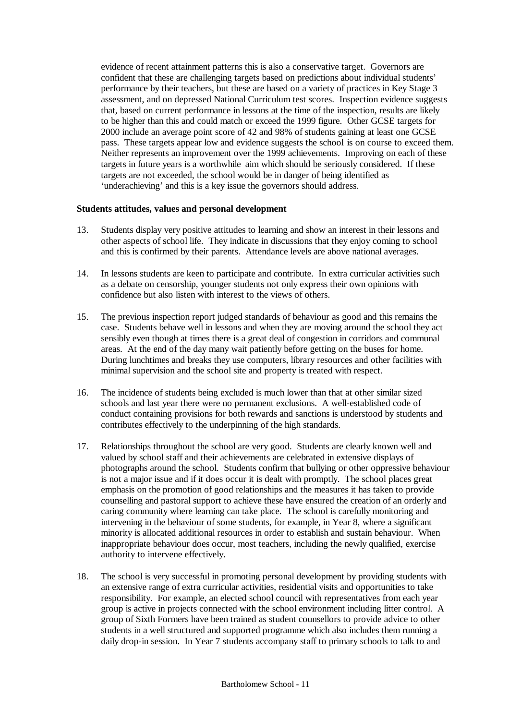evidence of recent attainment patterns this is also a conservative target. Governors are confident that these are challenging targets based on predictions about individual students' performance by their teachers, but these are based on a variety of practices in Key Stage 3 assessment, and on depressed National Curriculum test scores. Inspection evidence suggests that, based on current performance in lessons at the time of the inspection, results are likely to be higher than this and could match or exceed the 1999 figure. Other GCSE targets for 2000 include an average point score of 42 and 98% of students gaining at least one GCSE pass. These targets appear low and evidence suggests the school is on course to exceed them. Neither represents an improvement over the 1999 achievements. Improving on each of these targets in future years is a worthwhile aim which should be seriously considered. If these targets are not exceeded, the school would be in danger of being identified as 'underachieving' and this is a key issue the governors should address.

## **Students attitudes, values and personal development**

- 13. Students display very positive attitudes to learning and show an interest in their lessons and other aspects of school life. They indicate in discussions that they enjoy coming to school and this is confirmed by their parents. Attendance levels are above national averages.
- 14. In lessons students are keen to participate and contribute. In extra curricular activities such as a debate on censorship, younger students not only express their own opinions with confidence but also listen with interest to the views of others.
- 15. The previous inspection report judged standards of behaviour as good and this remains the case. Students behave well in lessons and when they are moving around the school they act sensibly even though at times there is a great deal of congestion in corridors and communal areas. At the end of the day many wait patiently before getting on the buses for home. During lunchtimes and breaks they use computers, library resources and other facilities with minimal supervision and the school site and property is treated with respect.
- 16. The incidence of students being excluded is much lower than that at other similar sized schools and last year there were no permanent exclusions. A well-established code of conduct containing provisions for both rewards and sanctions is understood by students and contributes effectively to the underpinning of the high standards.
- 17. Relationships throughout the school are very good. Students are clearly known well and valued by school staff and their achievements are celebrated in extensive displays of photographs around the school. Students confirm that bullying or other oppressive behaviour is not a major issue and if it does occur it is dealt with promptly. The school places great emphasis on the promotion of good relationships and the measures it has taken to provide counselling and pastoral support to achieve these have ensured the creation of an orderly and caring community where learning can take place. The school is carefully monitoring and intervening in the behaviour of some students, for example, in Year 8, where a significant minority is allocated additional resources in order to establish and sustain behaviour. When inappropriate behaviour does occur, most teachers, including the newly qualified, exercise authority to intervene effectively.
- 18. The school is very successful in promoting personal development by providing students with an extensive range of extra curricular activities, residential visits and opportunities to take responsibility. For example, an elected school council with representatives from each year group is active in projects connected with the school environment including litter control. A group of Sixth Formers have been trained as student counsellors to provide advice to other students in a well structured and supported programme which also includes them running a daily drop-in session. In Year 7 students accompany staff to primary schools to talk to and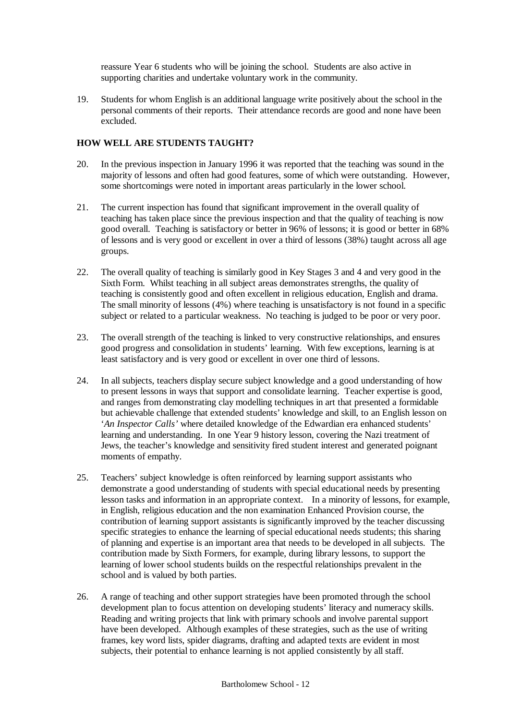reassure Year 6 students who will be joining the school. Students are also active in supporting charities and undertake voluntary work in the community.

19. Students for whom English is an additional language write positively about the school in the personal comments of their reports. Their attendance records are good and none have been excluded.

# **HOW WELL ARE STUDENTS TAUGHT?**

- 20. In the previous inspection in January 1996 it was reported that the teaching was sound in the majority of lessons and often had good features, some of which were outstanding. However, some shortcomings were noted in important areas particularly in the lower school.
- 21. The current inspection has found that significant improvement in the overall quality of teaching has taken place since the previous inspection and that the quality of teaching is now good overall. Teaching is satisfactory or better in 96% of lessons; it is good or better in 68% of lessons and is very good or excellent in over a third of lessons (38%) taught across all age groups.
- 22. The overall quality of teaching is similarly good in Key Stages 3 and 4 and very good in the Sixth Form. Whilst teaching in all subject areas demonstrates strengths, the quality of teaching is consistently good and often excellent in religious education, English and drama. The small minority of lessons (4%) where teaching is unsatisfactory is not found in a specific subject or related to a particular weakness. No teaching is judged to be poor or very poor.
- 23. The overall strength of the teaching is linked to very constructive relationships, and ensures good progress and consolidation in students' learning. With few exceptions, learning is at least satisfactory and is very good or excellent in over one third of lessons.
- 24. In all subjects, teachers display secure subject knowledge and a good understanding of how to present lessons in ways that support and consolidate learning. Teacher expertise is good, and ranges from demonstrating clay modelling techniques in art that presented a formidable but achievable challenge that extended students' knowledge and skill, to an English lesson on '*An Inspector Calls'* where detailed knowledge of the Edwardian era enhanced students' learning and understanding. In one Year 9 history lesson, covering the Nazi treatment of Jews, the teacher's knowledge and sensitivity fired student interest and generated poignant moments of empathy.
- 25. Teachers' subject knowledge is often reinforced by learning support assistants who demonstrate a good understanding of students with special educational needs by presenting lesson tasks and information in an appropriate context. In a minority of lessons, for example, in English, religious education and the non examination Enhanced Provision course, the contribution of learning support assistants is significantly improved by the teacher discussing specific strategies to enhance the learning of special educational needs students; this sharing of planning and expertise is an important area that needs to be developed in all subjects. The contribution made by Sixth Formers, for example, during library lessons, to support the learning of lower school students builds on the respectful relationships prevalent in the school and is valued by both parties.
- 26. A range of teaching and other support strategies have been promoted through the school development plan to focus attention on developing students' literacy and numeracy skills. Reading and writing projects that link with primary schools and involve parental support have been developed. Although examples of these strategies, such as the use of writing frames, key word lists, spider diagrams, drafting and adapted texts are evident in most subjects, their potential to enhance learning is not applied consistently by all staff.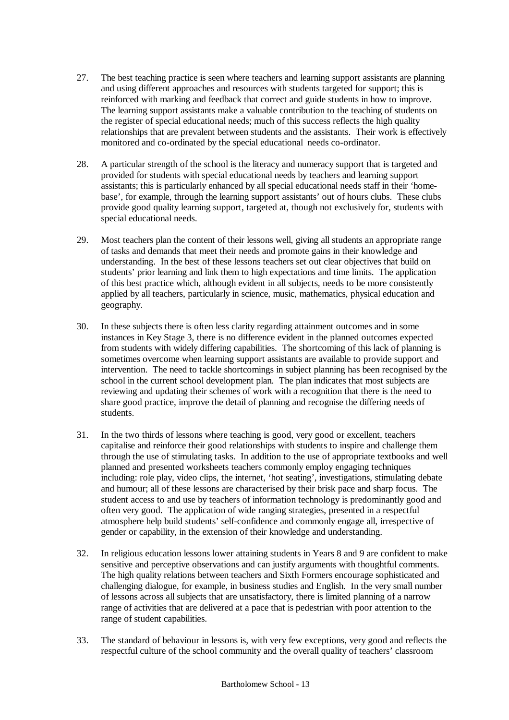- 27. The best teaching practice is seen where teachers and learning support assistants are planning and using different approaches and resources with students targeted for support; this is reinforced with marking and feedback that correct and guide students in how to improve. The learning support assistants make a valuable contribution to the teaching of students on the register of special educational needs; much of this success reflects the high quality relationships that are prevalent between students and the assistants. Their work is effectively monitored and co-ordinated by the special educational needs co-ordinator.
- 28. A particular strength of the school is the literacy and numeracy support that is targeted and provided for students with special educational needs by teachers and learning support assistants; this is particularly enhanced by all special educational needs staff in their 'homebase', for example, through the learning support assistants' out of hours clubs. These clubs provide good quality learning support, targeted at, though not exclusively for, students with special educational needs.
- 29. Most teachers plan the content of their lessons well, giving all students an appropriate range of tasks and demands that meet their needs and promote gains in their knowledge and understanding. In the best of these lessons teachers set out clear objectives that build on students' prior learning and link them to high expectations and time limits. The application of this best practice which, although evident in all subjects, needs to be more consistently applied by all teachers, particularly in science, music, mathematics, physical education and geography.
- 30. In these subjects there is often less clarity regarding attainment outcomes and in some instances in Key Stage 3, there is no difference evident in the planned outcomes expected from students with widely differing capabilities. The shortcoming of this lack of planning is sometimes overcome when learning support assistants are available to provide support and intervention. The need to tackle shortcomings in subject planning has been recognised by the school in the current school development plan. The plan indicates that most subjects are reviewing and updating their schemes of work with a recognition that there is the need to share good practice, improve the detail of planning and recognise the differing needs of students.
- 31. In the two thirds of lessons where teaching is good, very good or excellent, teachers capitalise and reinforce their good relationships with students to inspire and challenge them through the use of stimulating tasks. In addition to the use of appropriate textbooks and well planned and presented worksheets teachers commonly employ engaging techniques including: role play, video clips, the internet, 'hot seating', investigations, stimulating debate and humour; all of these lessons are characterised by their brisk pace and sharp focus. The student access to and use by teachers of information technology is predominantly good and often very good. The application of wide ranging strategies, presented in a respectful atmosphere help build students' self-confidence and commonly engage all, irrespective of gender or capability, in the extension of their knowledge and understanding.
- 32. In religious education lessons lower attaining students in Years 8 and 9 are confident to make sensitive and perceptive observations and can justify arguments with thoughtful comments. The high quality relations between teachers and Sixth Formers encourage sophisticated and challenging dialogue, for example, in business studies and English. In the very small number of lessons across all subjects that are unsatisfactory, there is limited planning of a narrow range of activities that are delivered at a pace that is pedestrian with poor attention to the range of student capabilities.
- 33. The standard of behaviour in lessons is, with very few exceptions, very good and reflects the respectful culture of the school community and the overall quality of teachers' classroom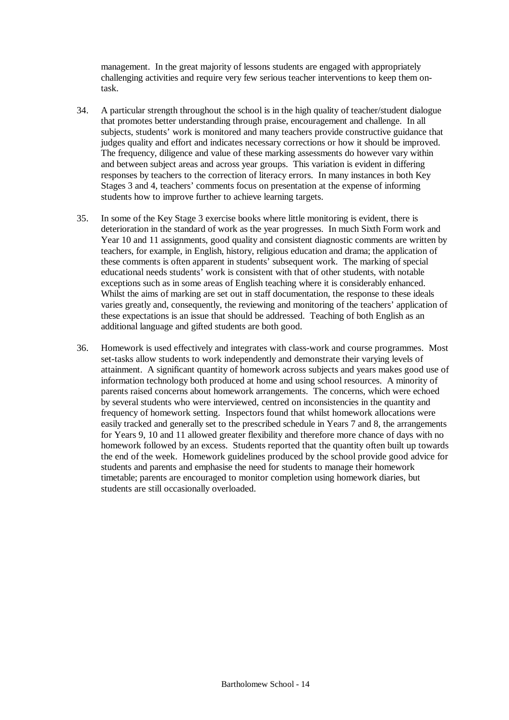management. In the great majority of lessons students are engaged with appropriately challenging activities and require very few serious teacher interventions to keep them ontask.

- 34. A particular strength throughout the school is in the high quality of teacher/student dialogue that promotes better understanding through praise, encouragement and challenge. In all subjects, students' work is monitored and many teachers provide constructive guidance that judges quality and effort and indicates necessary corrections or how it should be improved. The frequency, diligence and value of these marking assessments do however vary within and between subject areas and across year groups. This variation is evident in differing responses by teachers to the correction of literacy errors. In many instances in both Key Stages 3 and 4, teachers' comments focus on presentation at the expense of informing students how to improve further to achieve learning targets.
- 35. In some of the Key Stage 3 exercise books where little monitoring is evident, there is deterioration in the standard of work as the year progresses. In much Sixth Form work and Year 10 and 11 assignments, good quality and consistent diagnostic comments are written by teachers, for example, in English, history, religious education and drama; the application of these comments is often apparent in students' subsequent work. The marking of special educational needs students' work is consistent with that of other students, with notable exceptions such as in some areas of English teaching where it is considerably enhanced. Whilst the aims of marking are set out in staff documentation, the response to these ideals varies greatly and, consequently, the reviewing and monitoring of the teachers' application of these expectations is an issue that should be addressed. Teaching of both English as an additional language and gifted students are both good.
- 36. Homework is used effectively and integrates with class-work and course programmes. Most set-tasks allow students to work independently and demonstrate their varying levels of attainment. A significant quantity of homework across subjects and years makes good use of information technology both produced at home and using school resources. A minority of parents raised concerns about homework arrangements. The concerns, which were echoed by several students who were interviewed, centred on inconsistencies in the quantity and frequency of homework setting. Inspectors found that whilst homework allocations were easily tracked and generally set to the prescribed schedule in Years 7 and 8, the arrangements for Years 9, 10 and 11 allowed greater flexibility and therefore more chance of days with no homework followed by an excess. Students reported that the quantity often built up towards the end of the week. Homework guidelines produced by the school provide good advice for students and parents and emphasise the need for students to manage their homework timetable; parents are encouraged to monitor completion using homework diaries, but students are still occasionally overloaded.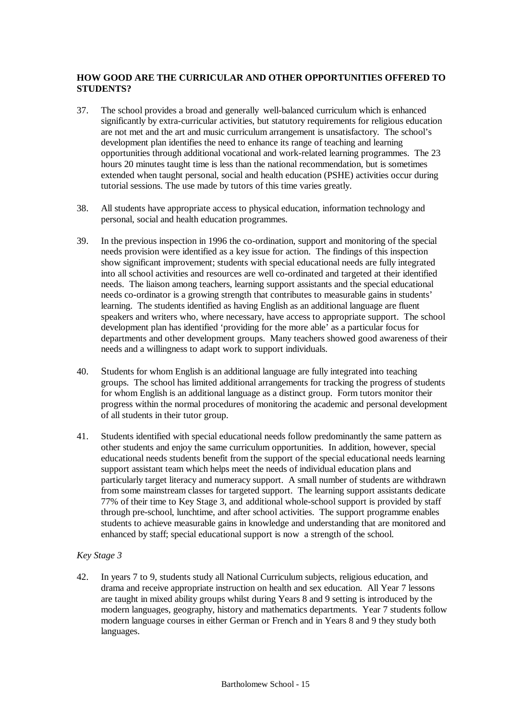# **HOW GOOD ARE THE CURRICULAR AND OTHER OPPORTUNITIES OFFERED TO STUDENTS?**

- 37. The school provides a broad and generally well-balanced curriculum which is enhanced significantly by extra-curricular activities, but statutory requirements for religious education are not met and the art and music curriculum arrangement is unsatisfactory. The school's development plan identifies the need to enhance its range of teaching and learning opportunities through additional vocational and work-related learning programmes. The 23 hours 20 minutes taught time is less than the national recommendation, but is sometimes extended when taught personal, social and health education (PSHE) activities occur during tutorial sessions. The use made by tutors of this time varies greatly.
- 38. All students have appropriate access to physical education, information technology and personal, social and health education programmes.
- 39. In the previous inspection in 1996 the co-ordination, support and monitoring of the special needs provision were identified as a key issue for action. The findings of this inspection show significant improvement; students with special educational needs are fully integrated into all school activities and resources are well co-ordinated and targeted at their identified needs. The liaison among teachers, learning support assistants and the special educational needs co-ordinator is a growing strength that contributes to measurable gains in students' learning. The students identified as having English as an additional language are fluent speakers and writers who, where necessary, have access to appropriate support. The school development plan has identified 'providing for the more able' as a particular focus for departments and other development groups. Many teachers showed good awareness of their needs and a willingness to adapt work to support individuals.
- 40. Students for whom English is an additional language are fully integrated into teaching groups. The school has limited additional arrangements for tracking the progress of students for whom English is an additional language as a distinct group. Form tutors monitor their progress within the normal procedures of monitoring the academic and personal development of all students in their tutor group.
- 41. Students identified with special educational needs follow predominantly the same pattern as other students and enjoy the same curriculum opportunities. In addition, however, special educational needs students benefit from the support of the special educational needs learning support assistant team which helps meet the needs of individual education plans and particularly target literacy and numeracy support. A small number of students are withdrawn from some mainstream classes for targeted support. The learning support assistants dedicate 77% of their time to Key Stage 3, and additional whole-school support is provided by staff through pre-school, lunchtime, and after school activities. The support programme enables students to achieve measurable gains in knowledge and understanding that are monitored and enhanced by staff; special educational support is now a strength of the school.

## *Key Stage 3*

42. In years 7 to 9, students study all National Curriculum subjects, religious education, and drama and receive appropriate instruction on health and sex education. All Year 7 lessons are taught in mixed ability groups whilst during Years 8 and 9 setting is introduced by the modern languages, geography, history and mathematics departments. Year 7 students follow modern language courses in either German or French and in Years 8 and 9 they study both languages.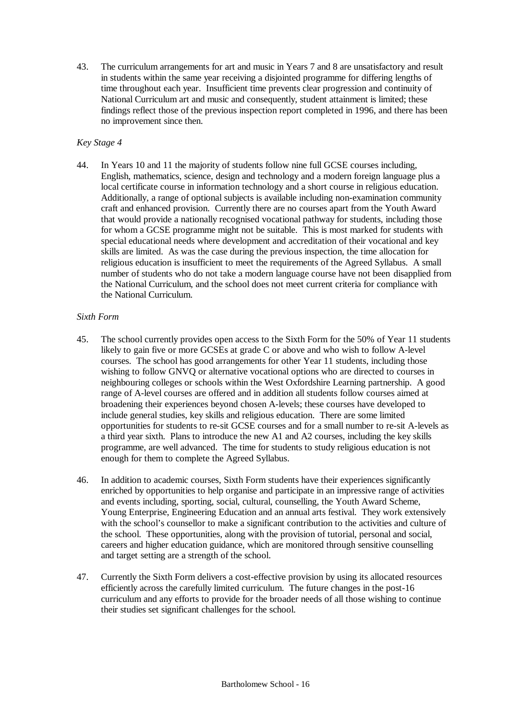43. The curriculum arrangements for art and music in Years 7 and 8 are unsatisfactory and result in students within the same year receiving a disjointed programme for differing lengths of time throughout each year. Insufficient time prevents clear progression and continuity of National Curriculum art and music and consequently, student attainment is limited; these findings reflect those of the previous inspection report completed in 1996, and there has been no improvement since then.

# *Key Stage 4*

44. In Years 10 and 11 the majority of students follow nine full GCSE courses including, English, mathematics, science, design and technology and a modern foreign language plus a local certificate course in information technology and a short course in religious education. Additionally, a range of optional subjects is available including non-examination community craft and enhanced provision. Currently there are no courses apart from the Youth Award that would provide a nationally recognised vocational pathway for students, including those for whom a GCSE programme might not be suitable. This is most marked for students with special educational needs where development and accreditation of their vocational and key skills are limited. As was the case during the previous inspection, the time allocation for religious education is insufficient to meet the requirements of the Agreed Syllabus. A small number of students who do not take a modern language course have not been disapplied from the National Curriculum, and the school does not meet current criteria for compliance with the National Curriculum.

## *Sixth Form*

- 45. The school currently provides open access to the Sixth Form for the 50% of Year 11 students likely to gain five or more GCSEs at grade C or above and who wish to follow A-level courses. The school has good arrangements for other Year 11 students, including those wishing to follow GNVQ or alternative vocational options who are directed to courses in neighbouring colleges or schools within the West Oxfordshire Learning partnership. A good range of A-level courses are offered and in addition all students follow courses aimed at broadening their experiences beyond chosen A-levels; these courses have developed to include general studies, key skills and religious education. There are some limited opportunities for students to re-sit GCSE courses and for a small number to re-sit A-levels as a third year sixth. Plans to introduce the new A1 and A2 courses, including the key skills programme, are well advanced. The time for students to study religious education is not enough for them to complete the Agreed Syllabus.
- 46. In addition to academic courses, Sixth Form students have their experiences significantly enriched by opportunities to help organise and participate in an impressive range of activities and events including, sporting, social, cultural, counselling, the Youth Award Scheme, Young Enterprise, Engineering Education and an annual arts festival. They work extensively with the school's counsellor to make a significant contribution to the activities and culture of the school. These opportunities, along with the provision of tutorial, personal and social, careers and higher education guidance, which are monitored through sensitive counselling and target setting are a strength of the school.
- 47. Currently the Sixth Form delivers a cost-effective provision by using its allocated resources efficiently across the carefully limited curriculum. The future changes in the post-16 curriculum and any efforts to provide for the broader needs of all those wishing to continue their studies set significant challenges for the school.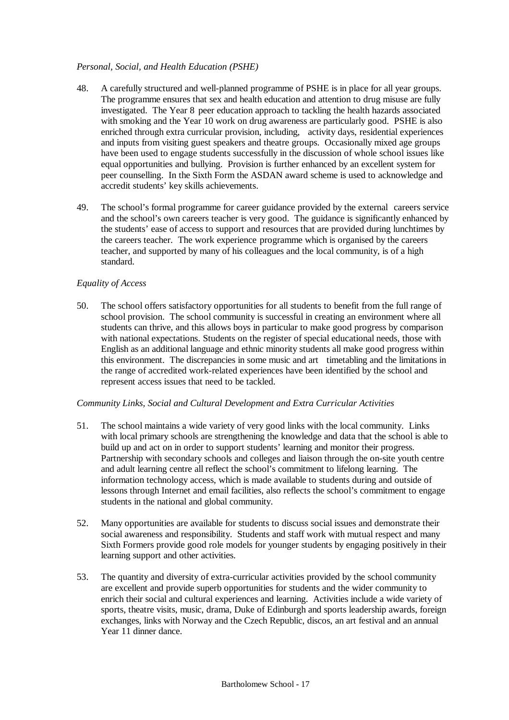# *Personal, Social, and Health Education (PSHE)*

- 48. A carefully structured and well-planned programme of PSHE is in place for all year groups. The programme ensures that sex and health education and attention to drug misuse are fully investigated. The Year 8 peer education approach to tackling the health hazards associated with smoking and the Year 10 work on drug awareness are particularly good. PSHE is also enriched through extra curricular provision, including, activity days, residential experiences and inputs from visiting guest speakers and theatre groups. Occasionally mixed age groups have been used to engage students successfully in the discussion of whole school issues like equal opportunities and bullying. Provision is further enhanced by an excellent system for peer counselling. In the Sixth Form the ASDAN award scheme is used to acknowledge and accredit students' key skills achievements.
- 49. The school's formal programme for career guidance provided by the external careers service and the school's own careers teacher is very good. The guidance is significantly enhanced by the students' ease of access to support and resources that are provided during lunchtimes by the careers teacher. The work experience programme which is organised by the careers teacher, and supported by many of his colleagues and the local community, is of a high standard.

# *Equality of Access*

50. The school offers satisfactory opportunities for all students to benefit from the full range of school provision. The school community is successful in creating an environment where all students can thrive, and this allows boys in particular to make good progress by comparison with national expectations. Students on the register of special educational needs, those with English as an additional language and ethnic minority students all make good progress within this environment. The discrepancies in some music and art timetabling and the limitations in the range of accredited work-related experiences have been identified by the school and represent access issues that need to be tackled.

## *Community Links, Social and Cultural Development and Extra Curricular Activities*

- 51. The school maintains a wide variety of very good links with the local community. Links with local primary schools are strengthening the knowledge and data that the school is able to build up and act on in order to support students' learning and monitor their progress. Partnership with secondary schools and colleges and liaison through the on-site youth centre and adult learning centre all reflect the school's commitment to lifelong learning. The information technology access, which is made available to students during and outside of lessons through Internet and email facilities, also reflects the school's commitment to engage students in the national and global community.
- 52. Many opportunities are available for students to discuss social issues and demonstrate their social awareness and responsibility. Students and staff work with mutual respect and many Sixth Formers provide good role models for younger students by engaging positively in their learning support and other activities.
- 53. The quantity and diversity of extra-curricular activities provided by the school community are excellent and provide superb opportunities for students and the wider community to enrich their social and cultural experiences and learning. Activities include a wide variety of sports, theatre visits, music, drama, Duke of Edinburgh and sports leadership awards, foreign exchanges, links with Norway and the Czech Republic, discos, an art festival and an annual Year 11 dinner dance.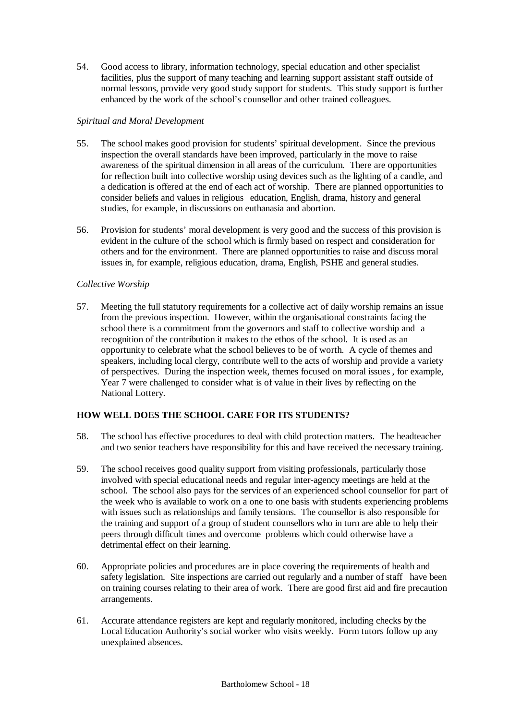54. Good access to library, information technology, special education and other specialist facilities, plus the support of many teaching and learning support assistant staff outside of normal lessons, provide very good study support for students. This study support is further enhanced by the work of the school's counsellor and other trained colleagues.

# *Spiritual and Moral Development*

- 55. The school makes good provision for students' spiritual development. Since the previous inspection the overall standards have been improved, particularly in the move to raise awareness of the spiritual dimension in all areas of the curriculum. There are opportunities for reflection built into collective worship using devices such as the lighting of a candle, and a dedication is offered at the end of each act of worship. There are planned opportunities to consider beliefs and values in religious education, English, drama, history and general studies, for example, in discussions on euthanasia and abortion.
- 56. Provision for students' moral development is very good and the success of this provision is evident in the culture of the school which is firmly based on respect and consideration for others and for the environment. There are planned opportunities to raise and discuss moral issues in, for example, religious education, drama, English, PSHE and general studies.

# *Collective Worship*

57. Meeting the full statutory requirements for a collective act of daily worship remains an issue from the previous inspection. However, within the organisational constraints facing the school there is a commitment from the governors and staff to collective worship and a recognition of the contribution it makes to the ethos of the school. It is used as an opportunity to celebrate what the school believes to be of worth. A cycle of themes and speakers, including local clergy, contribute well to the acts of worship and provide a variety of perspectives. During the inspection week, themes focused on moral issues , for example, Year 7 were challenged to consider what is of value in their lives by reflecting on the National Lottery.

# **HOW WELL DOES THE SCHOOL CARE FOR ITS STUDENTS?**

- 58. The school has effective procedures to deal with child protection matters. The headteacher and two senior teachers have responsibility for this and have received the necessary training.
- 59. The school receives good quality support from visiting professionals, particularly those involved with special educational needs and regular inter-agency meetings are held at the school. The school also pays for the services of an experienced school counsellor for part of the week who is available to work on a one to one basis with students experiencing problems with issues such as relationships and family tensions. The counsellor is also responsible for the training and support of a group of student counsellors who in turn are able to help their peers through difficult times and overcome problems which could otherwise have a detrimental effect on their learning.
- 60. Appropriate policies and procedures are in place covering the requirements of health and safety legislation. Site inspections are carried out regularly and a number of staff have been on training courses relating to their area of work. There are good first aid and fire precaution arrangements.
- 61. Accurate attendance registers are kept and regularly monitored, including checks by the Local Education Authority's social worker who visits weekly. Form tutors follow up any unexplained absences.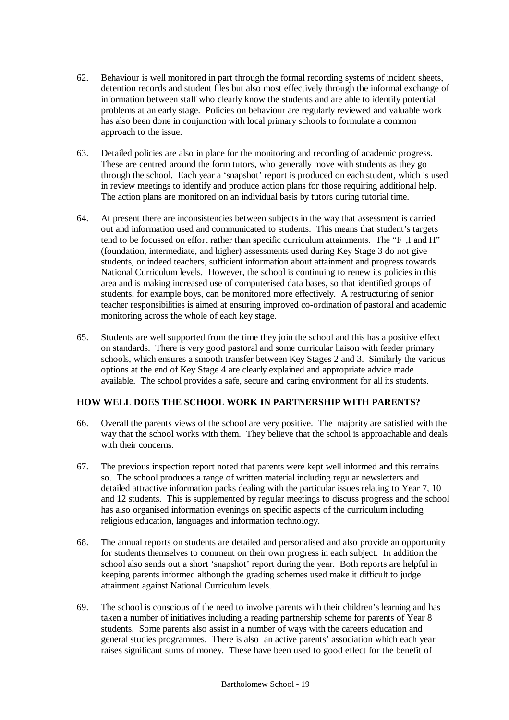- 62. Behaviour is well monitored in part through the formal recording systems of incident sheets, detention records and student files but also most effectively through the informal exchange of information between staff who clearly know the students and are able to identify potential problems at an early stage. Policies on behaviour are regularly reviewed and valuable work has also been done in conjunction with local primary schools to formulate a common approach to the issue.
- 63. Detailed policies are also in place for the monitoring and recording of academic progress. These are centred around the form tutors, who generally move with students as they go through the school. Each year a 'snapshot' report is produced on each student, which is used in review meetings to identify and produce action plans for those requiring additional help. The action plans are monitored on an individual basis by tutors during tutorial time.
- 64. At present there are inconsistencies between subjects in the way that assessment is carried out and information used and communicated to students. This means that student's targets tend to be focussed on effort rather than specific curriculum attainments. The "F ,I and H" (foundation, intermediate, and higher) assessments used during Key Stage 3 do not give students, or indeed teachers, sufficient information about attainment and progress towards National Curriculum levels. However, the school is continuing to renew its policies in this area and is making increased use of computerised data bases, so that identified groups of students, for example boys, can be monitored more effectively. A restructuring of senior teacher responsibilities is aimed at ensuring improved co-ordination of pastoral and academic monitoring across the whole of each key stage.
- 65. Students are well supported from the time they join the school and this has a positive effect on standards. There is very good pastoral and some curricular liaison with feeder primary schools, which ensures a smooth transfer between Key Stages 2 and 3. Similarly the various options at the end of Key Stage 4 are clearly explained and appropriate advice made available. The school provides a safe, secure and caring environment for all its students.

# **HOW WELL DOES THE SCHOOL WORK IN PARTNERSHIP WITH PARENTS?**

- 66. Overall the parents views of the school are very positive. The majority are satisfied with the way that the school works with them. They believe that the school is approachable and deals with their concerns.
- 67. The previous inspection report noted that parents were kept well informed and this remains so. The school produces a range of written material including regular newsletters and detailed attractive information packs dealing with the particular issues relating to Year 7, 10 and 12 students. This is supplemented by regular meetings to discuss progress and the school has also organised information evenings on specific aspects of the curriculum including religious education, languages and information technology.
- 68. The annual reports on students are detailed and personalised and also provide an opportunity for students themselves to comment on their own progress in each subject. In addition the school also sends out a short 'snapshot' report during the year. Both reports are helpful in keeping parents informed although the grading schemes used make it difficult to judge attainment against National Curriculum levels.
- 69. The school is conscious of the need to involve parents with their children's learning and has taken a number of initiatives including a reading partnership scheme for parents of Year 8 students. Some parents also assist in a number of ways with the careers education and general studies programmes. There is also an active parents' association which each year raises significant sums of money. These have been used to good effect for the benefit of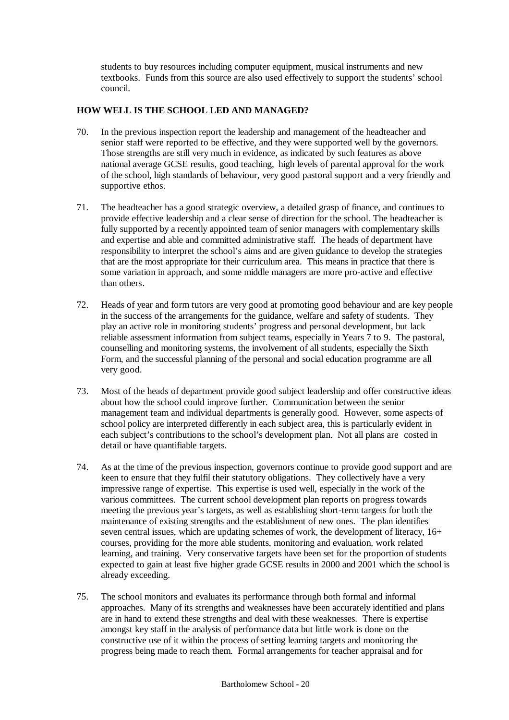students to buy resources including computer equipment, musical instruments and new textbooks. Funds from this source are also used effectively to support the students' school council.

# **HOW WELL IS THE SCHOOL LED AND MANAGED?**

- 70. In the previous inspection report the leadership and management of the headteacher and senior staff were reported to be effective, and they were supported well by the governors. Those strengths are still very much in evidence, as indicated by such features as above national average GCSE results, good teaching, high levels of parental approval for the work of the school, high standards of behaviour, very good pastoral support and a very friendly and supportive ethos.
- 71. The headteacher has a good strategic overview, a detailed grasp of finance, and continues to provide effective leadership and a clear sense of direction for the school. The headteacher is fully supported by a recently appointed team of senior managers with complementary skills and expertise and able and committed administrative staff. The heads of department have responsibility to interpret the school's aims and are given guidance to develop the strategies that are the most appropriate for their curriculum area. This means in practice that there is some variation in approach, and some middle managers are more pro-active and effective than others.
- 72. Heads of year and form tutors are very good at promoting good behaviour and are key people in the success of the arrangements for the guidance, welfare and safety of students. They play an active role in monitoring students' progress and personal development, but lack reliable assessment information from subject teams, especially in Years 7 to 9. The pastoral, counselling and monitoring systems, the involvement of all students, especially the Sixth Form, and the successful planning of the personal and social education programme are all very good.
- 73. Most of the heads of department provide good subject leadership and offer constructive ideas about how the school could improve further. Communication between the senior management team and individual departments is generally good. However, some aspects of school policy are interpreted differently in each subject area, this is particularly evident in each subject's contributions to the school's development plan. Not all plans are costed in detail or have quantifiable targets.
- 74. As at the time of the previous inspection, governors continue to provide good support and are keen to ensure that they fulfil their statutory obligations. They collectively have a very impressive range of expertise. This expertise is used well, especially in the work of the various committees. The current school development plan reports on progress towards meeting the previous year's targets, as well as establishing short-term targets for both the maintenance of existing strengths and the establishment of new ones. The plan identifies seven central issues, which are updating schemes of work, the development of literacy, 16+ courses, providing for the more able students, monitoring and evaluation, work related learning, and training. Very conservative targets have been set for the proportion of students expected to gain at least five higher grade GCSE results in 2000 and 2001 which the school is already exceeding.
- 75. The school monitors and evaluates its performance through both formal and informal approaches. Many of its strengths and weaknesses have been accurately identified and plans are in hand to extend these strengths and deal with these weaknesses. There is expertise amongst key staff in the analysis of performance data but little work is done on the constructive use of it within the process of setting learning targets and monitoring the progress being made to reach them. Formal arrangements for teacher appraisal and for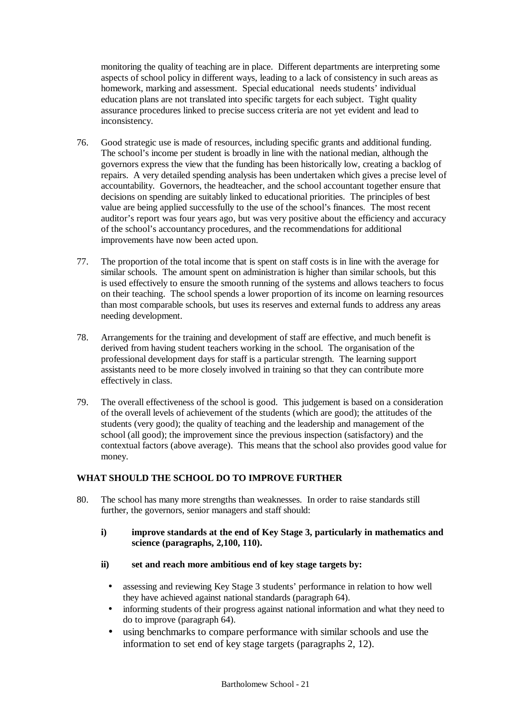monitoring the quality of teaching are in place. Different departments are interpreting some aspects of school policy in different ways, leading to a lack of consistency in such areas as homework, marking and assessment. Special educational needs students' individual education plans are not translated into specific targets for each subject. Tight quality assurance procedures linked to precise success criteria are not yet evident and lead to inconsistency.

- 76. Good strategic use is made of resources, including specific grants and additional funding. The school's income per student is broadly in line with the national median, although the governors express the view that the funding has been historically low, creating a backlog of repairs. A very detailed spending analysis has been undertaken which gives a precise level of accountability. Governors, the headteacher, and the school accountant together ensure that decisions on spending are suitably linked to educational priorities. The principles of best value are being applied successfully to the use of the school's finances. The most recent auditor's report was four years ago, but was very positive about the efficiency and accuracy of the school's accountancy procedures, and the recommendations for additional improvements have now been acted upon.
- 77. The proportion of the total income that is spent on staff costs is in line with the average for similar schools. The amount spent on administration is higher than similar schools, but this is used effectively to ensure the smooth running of the systems and allows teachers to focus on their teaching. The school spends a lower proportion of its income on learning resources than most comparable schools, but uses its reserves and external funds to address any areas needing development.
- 78. Arrangements for the training and development of staff are effective, and much benefit is derived from having student teachers working in the school. The organisation of the professional development days for staff is a particular strength. The learning support assistants need to be more closely involved in training so that they can contribute more effectively in class.
- 79. The overall effectiveness of the school is good. This judgement is based on a consideration of the overall levels of achievement of the students (which are good); the attitudes of the students (very good); the quality of teaching and the leadership and management of the school (all good); the improvement since the previous inspection (satisfactory) and the contextual factors (above average). This means that the school also provides good value for money.

# **WHAT SHOULD THE SCHOOL DO TO IMPROVE FURTHER**

- 80. The school has many more strengths than weaknesses. In order to raise standards still further, the governors, senior managers and staff should:
	- **i) improve standards at the end of Key Stage 3, particularly in mathematics and science (paragraphs, 2,100, 110).**
	- **ii) set and reach more ambitious end of key stage targets by:**
		- assessing and reviewing Key Stage 3 students' performance in relation to how well they have achieved against national standards (paragraph 64).
		- informing students of their progress against national information and what they need to do to improve (paragraph 64).
		- using benchmarks to compare performance with similar schools and use the information to set end of key stage targets (paragraphs 2, 12).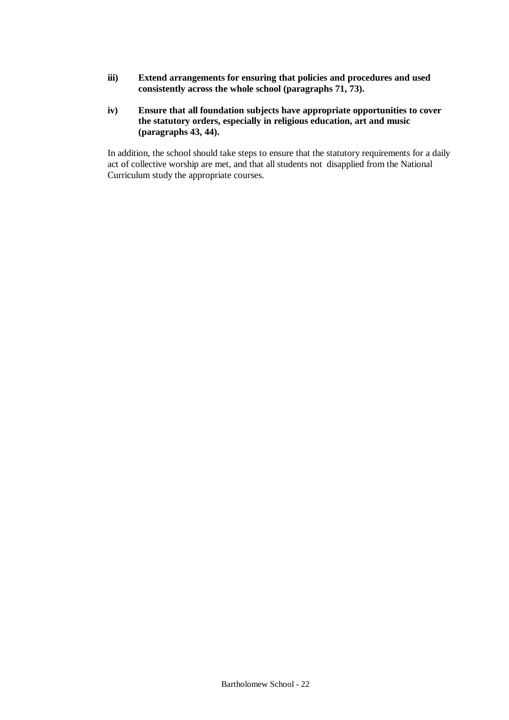- **iii) Extend arrangements for ensuring that policies and procedures and used consistently across the whole school (paragraphs 71, 73).**
- **iv) Ensure that all foundation subjects have appropriate opportunities to cover the statutory orders, especially in religious education, art and music (paragraphs 43, 44).**

In addition, the school should take steps to ensure that the statutory requirements for a daily act of collective worship are met, and that all students not disapplied from the National Curriculum study the appropriate courses.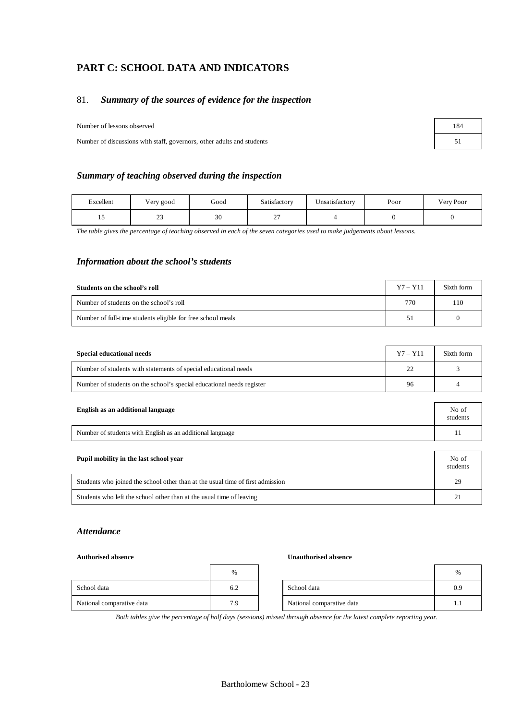# **PART C: SCHOOL DATA AND INDICATORS**

# 81. *Summary of the sources of evidence for the inspection*

Number of lessons observed 184

Number of discussions with staff, governors, other adults and students 51

### *Summary of teaching observed during the inspection*

| <b>ixcellent</b>     | ∕ery good | Good         | Satisfactory      | T<br>Unsatisfactorv | Poor | Very Poor |
|----------------------|-----------|--------------|-------------------|---------------------|------|-----------|
| $\ddot{\phantom{0}}$ | رے        | $\sim$<br>3U | $\sim$ $-$<br>. . |                     |      |           |

*The table gives the percentage of teaching observed in each of the seven categories used to make judgements about lessons.*

### *Information about the school's students*

| Students on the school's roll                               | $Y7 - Y11$ | Sixth form |
|-------------------------------------------------------------|------------|------------|
| Number of students on the school's roll                     | 770        | 110        |
| Number of full-time students eligible for free school meals | 51         |            |

| <b>Special educational needs</b>                                      | $Y7 - Y11$ | Sixth form |
|-----------------------------------------------------------------------|------------|------------|
| Number of students with statements of special educational needs       | 22         |            |
| Number of students on the school's special educational needs register | 96         |            |

| English as an additional language                         | No of<br>students |
|-----------------------------------------------------------|-------------------|
| Number of students with English as an additional language |                   |

| Pupil mobility in the last school year                                         | No of<br>students |
|--------------------------------------------------------------------------------|-------------------|
| Students who joined the school other than at the usual time of first admission | 29                |
| Students who left the school other than at the usual time of leaving           | 21                |

## *Attendance*

#### **Authorised absence Unauthorised absence**

|                           | $\%$ |                           | $\%$ |
|---------------------------|------|---------------------------|------|
| School data               | 6.2  | School data               | 0.9  |
| National comparative data | 7.9  | National comparative data | 1.1  |

| %   |                           | %   |
|-----|---------------------------|-----|
| 5.2 | School data               | 0.9 |
| 7.9 | National comparative data |     |

*Both tables give the percentage of half days (sessions) missed through absence for the latest complete reporting year.*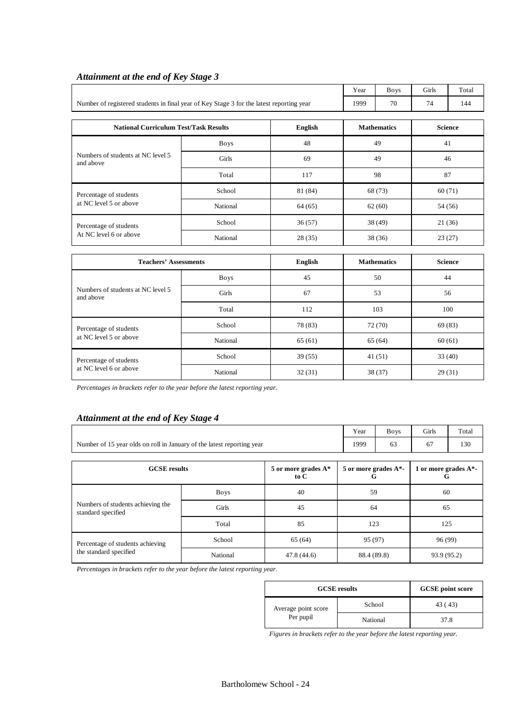|                                                                                          |             |                | Year               | <b>Boys</b>        | Girls          | Total          |  |
|------------------------------------------------------------------------------------------|-------------|----------------|--------------------|--------------------|----------------|----------------|--|
| Number of registered students in final year of Key Stage 3 for the latest reporting year |             |                | 1999               | 70                 | 74             | 144            |  |
| <b>National Curriculum Test/Task Results</b>                                             |             | <b>English</b> | <b>Mathematics</b> |                    | <b>Science</b> |                |  |
|                                                                                          | <b>Boys</b> | 48             |                    | 49                 |                | 41             |  |
| Numbers of students at NC level 5<br>and above                                           | Girls       | 69             |                    | 49                 |                | 46             |  |
|                                                                                          | Total       | 117            |                    | 98                 | 87             |                |  |
| Percentage of students                                                                   | School      | 81 (84)        | 68 (73)<br>60(71)  |                    |                |                |  |
| at NC level 5 or above                                                                   | National    | 64(65)         |                    | 62(60)             |                | 54 (56)        |  |
| Percentage of students                                                                   | School      | 36(57)         |                    | 38 (49)            |                | 21(36)         |  |
| At NC level 6 or above                                                                   | National    | 28(35)         |                    | 38 (36)            |                | 23(27)         |  |
|                                                                                          |             |                |                    |                    |                |                |  |
| <b>Teachers' Assessments</b>                                                             |             | <b>English</b> |                    | <b>Mathematics</b> |                | <b>Science</b> |  |
|                                                                                          | <b>Boys</b> | 45             |                    | 50                 |                | 44             |  |
| Numbers of students at NC level 5<br>and above                                           | Girls       | 67             | 53                 |                    |                | 56             |  |
|                                                                                          | Total       | 112            | 103                |                    |                | 100            |  |
| Percentage of students                                                                   | School      | 78 (83)        |                    | 72 (70)            |                | 69 (83)        |  |
| at NC level 5 or above                                                                   | National    | 65(61)         | 65(64)<br>60(61)   |                    |                |                |  |

# *Attainment at the end of Key Stage 3*

*Percentages in brackets refer to the year before the latest reporting year.*

# *Attainment at the end of Key Stage 4*

|                                                                        |              |             | Year        | <b>Boys</b>                   | Girls       | Total                         |    |  |
|------------------------------------------------------------------------|--------------|-------------|-------------|-------------------------------|-------------|-------------------------------|----|--|
| Number of 15 year olds on roll in January of the latest reporting year | 1999         | 63          | 67          | 130                           |             |                               |    |  |
|                                                                        |              |             |             |                               |             |                               |    |  |
| <b>GCSE</b> results<br>5 or more grades $A^*$<br>to C                  |              |             |             | 5 or more grades $A^*$ -<br>G |             | 1 or more grades $A^*$ -<br>G |    |  |
|                                                                        | <b>Boys</b>  | 40          | 59          |                               |             |                               | 60 |  |
| Numbers of students achieving the<br>standard specified                | <b>Girls</b> | 45          |             | 64                            |             | 65                            |    |  |
|                                                                        | Total        | 85          |             | 123                           |             | 125                           |    |  |
| Percentage of students achieving                                       | School       | 65 (64)     | 95 (97)     |                               | 96 (99)     |                               |    |  |
| the standard specified                                                 | National     | 47.8 (44.6) | 88.4 (89.8) |                               | 93.9 (95.2) |                               |    |  |

Percentage of students School 39 (55) 41 (51) 33 (40) at NC level 6 or above National 32 (31) 38 (37) 38 (37) 29 (31)

*Percentages in brackets refer to the year before the latest reporting year.*

| <b>GCSE</b> results              |          | <b>GCSE</b> point score |
|----------------------------------|----------|-------------------------|
| Average point score<br>Per pupil | School   | 43 (43)                 |
|                                  | National | 37.8                    |

*Figures in brackets refer to the year before the latest reporting year.*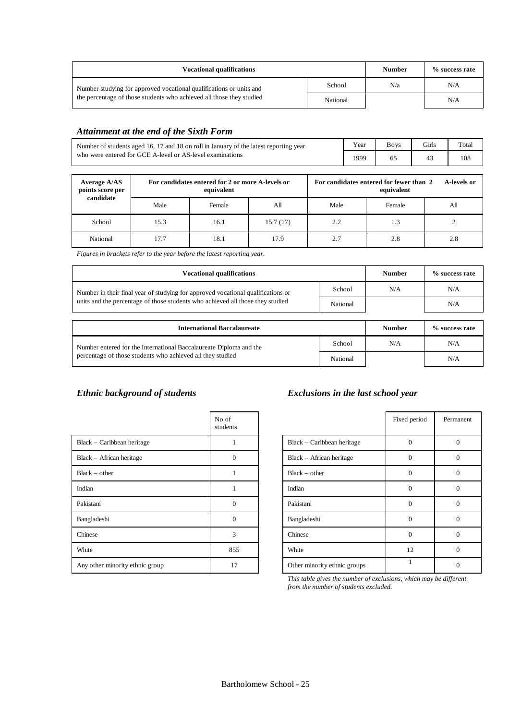| <b>Vocational qualifications</b>                                     |          | <b>Number</b> | % success rate |
|----------------------------------------------------------------------|----------|---------------|----------------|
| Number studying for approved vocational qualifications or units and  | School   | N/a           | N/A            |
| the percentage of those students who achieved all those they studied | National |               | N/A            |

# *Attainment at the end of the Sixth Form*

| Number of students aged 16, 17 and 18 on roll in January of the latest reporting year | Year | <b>Boys</b> | <b>Girls</b> | Total |
|---------------------------------------------------------------------------------------|------|-------------|--------------|-------|
| who were entered for GCE A-level or AS-level examinations                             | 1999 |             |              | 108   |

| Average A/AS<br>points score per<br>candidate |      | For candidates entered for 2 or more A-levels or<br>equivalent |          |      | For candidates entered for fewer than 2<br>equivalent | A-levels or |
|-----------------------------------------------|------|----------------------------------------------------------------|----------|------|-------------------------------------------------------|-------------|
|                                               | Male | Female                                                         | All      | Male | Female                                                | All         |
| School                                        | 15.3 | 16.1                                                           | 15.7(17) | 2.2  | 1.3                                                   |             |
| National                                      | 17.7 | 18.1                                                           | 17.9     | 2.7  | 2.8                                                   | 2.8         |

*Figures in brackets refer to the year before the latest reporting year.*

| <b>Vocational qualifications</b>                                                 | <b>Number</b> | % success rate |     |
|----------------------------------------------------------------------------------|---------------|----------------|-----|
| Number in their final year of studying for approved vocational qualifications or |               | N/A            | N/A |
| units and the percentage of those students who achieved all those they studied   | National      |                | N/A |

| <b>International Baccalaureate</b>                                 | <b>Number</b> | % success rate |     |
|--------------------------------------------------------------------|---------------|----------------|-----|
| Number entered for the International Baccalaureate Diploma and the | School        | N/A            | N/A |
| percentage of those students who achieved all they studied         | National      |                | N/A |

|                                 | No of<br>students |                              | Fixed period | Perma       |
|---------------------------------|-------------------|------------------------------|--------------|-------------|
| Black – Caribbean heritage      |                   | Black – Caribbean heritage   | $\Omega$     | $\theta$    |
| Black - African heritage        | $\Omega$          | Black - African heritage     | $\Omega$     | $\theta$    |
| $Black - other$                 |                   | $Black - other$              | $\Omega$     | $\theta$    |
| Indian                          |                   | Indian                       | $\Omega$     | $\theta$    |
| Pakistani                       | $\Omega$          | Pakistani                    | $\Omega$     | $\theta$    |
| Bangladeshi                     | $\Omega$          | Bangladeshi                  | $\Omega$     | $\theta$    |
| Chinese                         | 3                 | Chinese                      | $\Omega$     | $\theta$    |
| White                           | 855               | White                        | 12           | $\Omega$    |
| Any other minority ethnic group | 17                | Other minority ethnic groups |              | $\mathbf 0$ |

# *Ethnic background of students Exclusions in the last school year*

|                              | Fixed period | Permanent |
|------------------------------|--------------|-----------|
| Black – Caribbean heritage   | 0            | $\Omega$  |
| Black - African heritage     | $\Omega$     | $\Omega$  |
| $Black - other$              | $\theta$     | $\Omega$  |
| Indian                       | $\Omega$     | $\Omega$  |
| Pakistani                    | $\theta$     | $\Omega$  |
| Bangladeshi                  | $\Omega$     | $\Omega$  |
| Chinese                      | $\Omega$     | $\Omega$  |
| White                        | 12           | $\Omega$  |
| Other minority ethnic groups |              |           |

*This table gives the number of exclusions, which may be different from the number of students excluded.*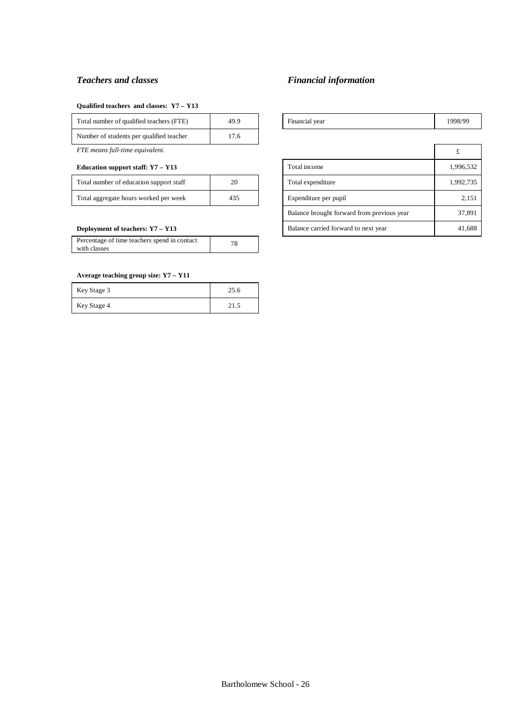#### **Qualified teachers and classes: Y7 – Y13**

| Total number of qualified teachers (FTE) | 49.9 |
|------------------------------------------|------|
| Number of students per qualified teacher | 17.6 |

*FTE means full-time equivalent.* £

#### **Education support staff: Y7 - Y13**

| Total number of education support staff | 20  |
|-----------------------------------------|-----|
| Total aggregate hours worked per week   | 435 |

#### **Deployment of teachers: Y7 – Y13**

| Percentage of time teachers spend in contact<br>with classes | 78 |
|--------------------------------------------------------------|----|
|                                                              |    |

### **Average teaching group size: Y7 – Y11**

| Key Stage 3 | 25.6 |
|-------------|------|
| Key Stage 4 | 21.5 |

# *Teachers and classes Financial information*

| Total number of qualified teachers<br><b>FTE</b><br>$\sim$ | Financial year<br>. |
|------------------------------------------------------------|---------------------|
|------------------------------------------------------------|---------------------|

| FTE means full-time equivalent.              |    |                       |                                            | £         |
|----------------------------------------------|----|-----------------------|--------------------------------------------|-----------|
| Education support staff: Y7 - Y13            |    |                       | Total income                               | 1,996,532 |
| Total number of education support staff      | 20 |                       | Total expenditure                          | 1,992,735 |
| Total aggregate hours worked per week<br>435 |    | Expenditure per pupil | 2,151                                      |           |
|                                              |    |                       | Balance brought forward from previous year | 37,891    |
| Deployment of teachers: Y7 - Y13             |    |                       | Balance carried forward to next year       | 41,688    |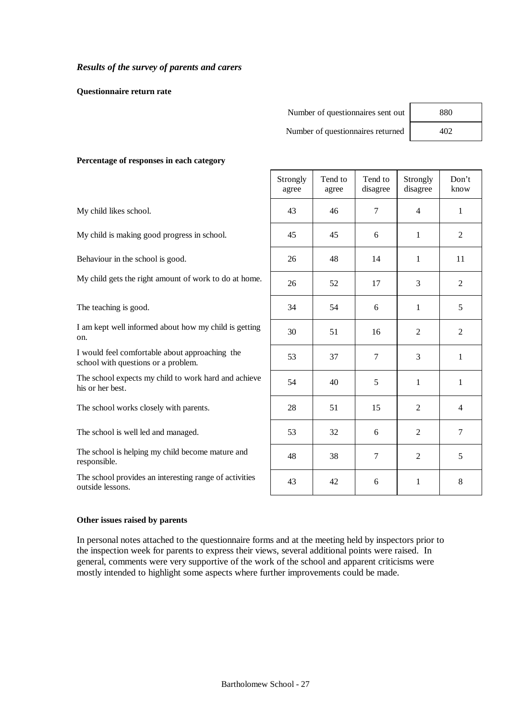## *Results of the survey of parents and carers*

#### **Questionnaire return rate**

| Number of questionnaires sent out | 880 |
|-----------------------------------|-----|
| Number of questionnaires returned |     |
|                                   |     |

 $\mathsf{r}$ 

#### **Percentage of responses in each category**

|                                                                                       | Strongly<br>agree | Tend to<br>agree | Tend to<br>disagree | Strongly<br>disagree | Don't<br>know  |
|---------------------------------------------------------------------------------------|-------------------|------------------|---------------------|----------------------|----------------|
| My child likes school.                                                                | 43                | 46               | 7                   | $\overline{4}$       | 1              |
| My child is making good progress in school.                                           | 45                | 45               | 6                   | 1                    | $\overline{2}$ |
| Behaviour in the school is good.                                                      | 26                | 48               | 14                  | 1                    | 11             |
| My child gets the right amount of work to do at home.                                 | 26                | 52               | 17                  | 3                    | 2              |
| The teaching is good.                                                                 | 34                | 54               | 6                   | 1                    | 5              |
| I am kept well informed about how my child is getting<br>on.                          | 30                | 51               | 16                  | 2                    | 2              |
| I would feel comfortable about approaching the<br>school with questions or a problem. | 53                | 37               | 7                   | 3                    | 1              |
| The school expects my child to work hard and achieve<br>his or her best.              | 54                | 40               | 5                   | 1                    | 1              |
| The school works closely with parents.                                                | 28                | 51               | 15                  | 2                    | $\overline{4}$ |
| The school is well led and managed.                                                   | 53                | 32               | 6                   | 2                    | 7              |
| The school is helping my child become mature and<br>responsible.                      | 48                | 38               | $\tau$              | $\overline{2}$       | 5              |
| The school provides an interesting range of activities<br>outside lessons.            | 43                | 42               | 6                   | 1                    | 8              |

### **Other issues raised by parents**

In personal notes attached to the questionnaire forms and at the meeting held by inspectors prior to the inspection week for parents to express their views, several additional points were raised. In general, comments were very supportive of the work of the school and apparent criticisms were mostly intended to highlight some aspects where further improvements could be made.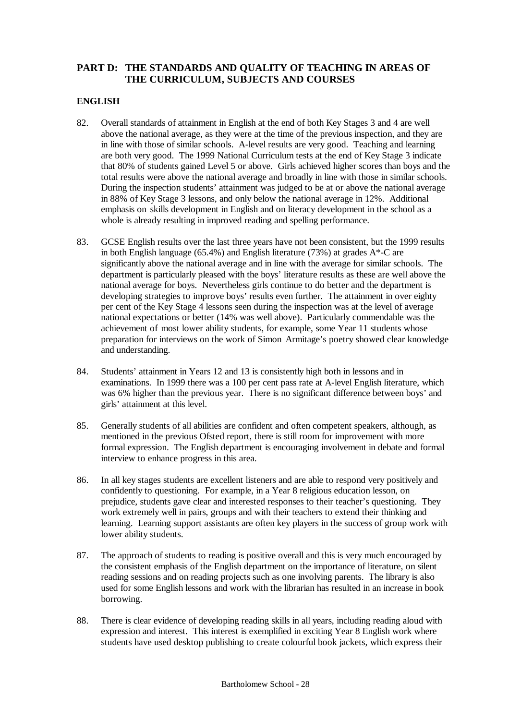# **PART D: THE STANDARDS AND QUALITY OF TEACHING IN AREAS OF THE CURRICULUM, SUBJECTS AND COURSES**

# **ENGLISH**

- 82. Overall standards of attainment in English at the end of both Key Stages 3 and 4 are well above the national average, as they were at the time of the previous inspection, and they are in line with those of similar schools. A-level results are very good. Teaching and learning are both very good. The 1999 National Curriculum tests at the end of Key Stage 3 indicate that 80% of students gained Level 5 or above. Girls achieved higher scores than boys and the total results were above the national average and broadly in line with those in similar schools. During the inspection students' attainment was judged to be at or above the national average in 88% of Key Stage 3 lessons, and only below the national average in 12%. Additional emphasis on skills development in English and on literacy development in the school as a whole is already resulting in improved reading and spelling performance.
- 83. GCSE English results over the last three years have not been consistent, but the 1999 results in both English language (65.4%) and English literature (73%) at grades A\*-C are significantly above the national average and in line with the average for similar schools. The department is particularly pleased with the boys' literature results as these are well above the national average for boys. Nevertheless girls continue to do better and the department is developing strategies to improve boys' results even further. The attainment in over eighty per cent of the Key Stage 4 lessons seen during the inspection was at the level of average national expectations or better (14% was well above). Particularly commendable was the achievement of most lower ability students, for example, some Year 11 students whose preparation for interviews on the work of Simon Armitage's poetry showed clear knowledge and understanding.
- 84. Students' attainment in Years 12 and 13 is consistently high both in lessons and in examinations. In 1999 there was a 100 per cent pass rate at A-level English literature, which was 6% higher than the previous year. There is no significant difference between boys' and girls' attainment at this level.
- 85. Generally students of all abilities are confident and often competent speakers, although, as mentioned in the previous Ofsted report, there is still room for improvement with more formal expression. The English department is encouraging involvement in debate and formal interview to enhance progress in this area.
- 86. In all key stages students are excellent listeners and are able to respond very positively and confidently to questioning. For example, in a Year 8 religious education lesson, on prejudice, students gave clear and interested responses to their teacher's questioning. They work extremely well in pairs, groups and with their teachers to extend their thinking and learning. Learning support assistants are often key players in the success of group work with lower ability students.
- 87. The approach of students to reading is positive overall and this is very much encouraged by the consistent emphasis of the English department on the importance of literature, on silent reading sessions and on reading projects such as one involving parents. The library is also used for some English lessons and work with the librarian has resulted in an increase in book borrowing.
- 88. There is clear evidence of developing reading skills in all years, including reading aloud with expression and interest. This interest is exemplified in exciting Year 8 English work where students have used desktop publishing to create colourful book jackets, which express their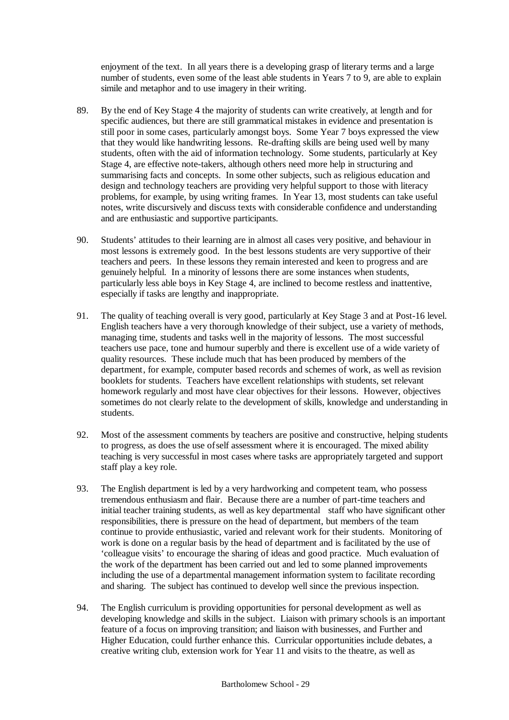enjoyment of the text. In all years there is a developing grasp of literary terms and a large number of students, even some of the least able students in Years 7 to 9, are able to explain simile and metaphor and to use imagery in their writing.

- 89. By the end of Key Stage 4 the majority of students can write creatively, at length and for specific audiences, but there are still grammatical mistakes in evidence and presentation is still poor in some cases, particularly amongst boys. Some Year 7 boys expressed the view that they would like handwriting lessons. Re-drafting skills are being used well by many students, often with the aid of information technology. Some students, particularly at Key Stage 4, are effective note-takers, although others need more help in structuring and summarising facts and concepts. In some other subjects, such as religious education and design and technology teachers are providing very helpful support to those with literacy problems, for example, by using writing frames. In Year 13, most students can take useful notes, write discursively and discuss texts with considerable confidence and understanding and are enthusiastic and supportive participants.
- 90. Students' attitudes to their learning are in almost all cases very positive, and behaviour in most lessons is extremely good. In the best lessons students are very supportive of their teachers and peers. In these lessons they remain interested and keen to progress and are genuinely helpful. In a minority of lessons there are some instances when students, particularly less able boys in Key Stage 4, are inclined to become restless and inattentive, especially if tasks are lengthy and inappropriate.
- 91. The quality of teaching overall is very good, particularly at Key Stage 3 and at Post-16 level. English teachers have a very thorough knowledge of their subject, use a variety of methods, managing time, students and tasks well in the majority of lessons. The most successful teachers use pace, tone and humour superbly and there is excellent use of a wide variety of quality resources. These include much that has been produced by members of the department, for example, computer based records and schemes of work, as well as revision booklets for students. Teachers have excellent relationships with students, set relevant homework regularly and most have clear objectives for their lessons. However, objectives sometimes do not clearly relate to the development of skills, knowledge and understanding in students.
- 92. Most of the assessment comments by teachers are positive and constructive, helping students to progress, as does the use of self assessment where it is encouraged. The mixed ability teaching is very successful in most cases where tasks are appropriately targeted and support staff play a key role.
- 93. The English department is led by a very hardworking and competent team, who possess tremendous enthusiasm and flair. Because there are a number of part-time teachers and initial teacher training students, as well as key departmental staff who have significant other responsibilities, there is pressure on the head of department, but members of the team continue to provide enthusiastic, varied and relevant work for their students. Monitoring of work is done on a regular basis by the head of department and is facilitated by the use of 'colleague visits' to encourage the sharing of ideas and good practice. Much evaluation of the work of the department has been carried out and led to some planned improvements including the use of a departmental management information system to facilitate recording and sharing. The subject has continued to develop well since the previous inspection.
- 94. The English curriculum is providing opportunities for personal development as well as developing knowledge and skills in the subject. Liaison with primary schools is an important feature of a focus on improving transition; and liaison with businesses, and Further and Higher Education, could further enhance this. Curricular opportunities include debates, a creative writing club, extension work for Year 11 and visits to the theatre, as well as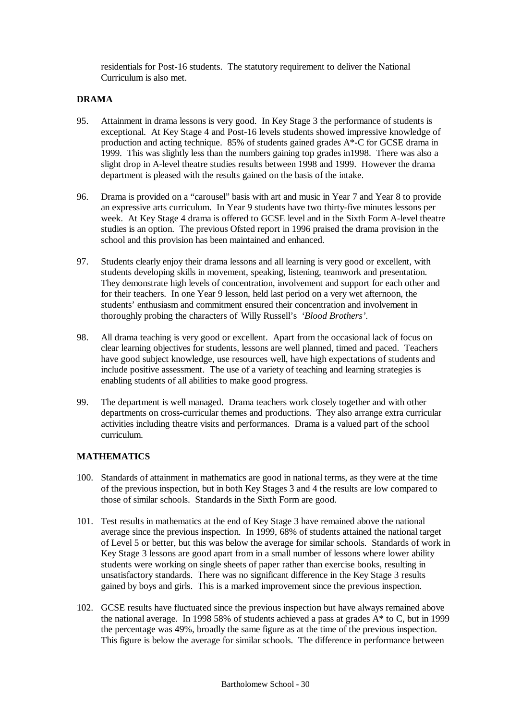residentials for Post-16 students. The statutory requirement to deliver the National Curriculum is also met.

## **DRAMA**

- 95. Attainment in drama lessons is very good. In Key Stage 3 the performance of students is exceptional. At Key Stage 4 and Post-16 levels students showed impressive knowledge of production and acting technique. 85% of students gained grades A\*-C for GCSE drama in 1999. This was slightly less than the numbers gaining top grades in1998. There was also a slight drop in A-level theatre studies results between 1998 and 1999. However the drama department is pleased with the results gained on the basis of the intake.
- 96. Drama is provided on a "carousel" basis with art and music in Year 7 and Year 8 to provide an expressive arts curriculum. In Year 9 students have two thirty-five minutes lessons per week. At Key Stage 4 drama is offered to GCSE level and in the Sixth Form A-level theatre studies is an option. The previous Ofsted report in 1996 praised the drama provision in the school and this provision has been maintained and enhanced.
- 97. Students clearly enjoy their drama lessons and all learning is very good or excellent, with students developing skills in movement, speaking, listening, teamwork and presentation. They demonstrate high levels of concentration, involvement and support for each other and for their teachers. In one Year 9 lesson, held last period on a very wet afternoon, the students' enthusiasm and commitment ensured their concentration and involvement in thoroughly probing the characters of Willy Russell's *'Blood Brothers'*.
- 98. All drama teaching is very good or excellent. Apart from the occasional lack of focus on clear learning objectives for students, lessons are well planned, timed and paced. Teachers have good subject knowledge, use resources well, have high expectations of students and include positive assessment. The use of a variety of teaching and learning strategies is enabling students of all abilities to make good progress.
- 99. The department is well managed. Drama teachers work closely together and with other departments on cross-curricular themes and productions. They also arrange extra curricular activities including theatre visits and performances. Drama is a valued part of the school curriculum.

## **MATHEMATICS**

- 100. Standards of attainment in mathematics are good in national terms, as they were at the time of the previous inspection, but in both Key Stages 3 and 4 the results are low compared to those of similar schools. Standards in the Sixth Form are good.
- 101. Test results in mathematics at the end of Key Stage 3 have remained above the national average since the previous inspection. In 1999, 68% of students attained the national target of Level 5 or better, but this was below the average for similar schools. Standards of work in Key Stage 3 lessons are good apart from in a small number of lessons where lower ability students were working on single sheets of paper rather than exercise books, resulting in unsatisfactory standards. There was no significant difference in the Key Stage 3 results gained by boys and girls. This is a marked improvement since the previous inspection.
- 102. GCSE results have fluctuated since the previous inspection but have always remained above the national average. In 1998 58% of students achieved a pass at grades A\* to C, but in 1999 the percentage was 49%, broadly the same figure as at the time of the previous inspection. This figure is below the average for similar schools. The difference in performance between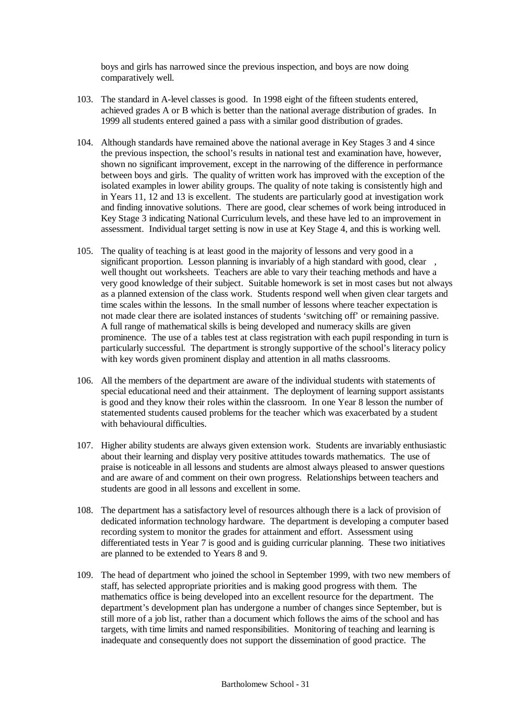boys and girls has narrowed since the previous inspection, and boys are now doing comparatively well.

- 103. The standard in A-level classes is good. In 1998 eight of the fifteen students entered, achieved grades A or B which is better than the national average distribution of grades. In 1999 all students entered gained a pass with a similar good distribution of grades.
- 104. Although standards have remained above the national average in Key Stages 3 and 4 since the previous inspection, the school's results in national test and examination have, however, shown no significant improvement, except in the narrowing of the difference in performance between boys and girls. The quality of written work has improved with the exception of the isolated examples in lower ability groups. The quality of note taking is consistently high and in Years 11, 12 and 13 is excellent. The students are particularly good at investigation work and finding innovative solutions. There are good, clear schemes of work being introduced in Key Stage 3 indicating National Curriculum levels, and these have led to an improvement in assessment. Individual target setting is now in use at Key Stage 4, and this is working well.
- 105. The quality of teaching is at least good in the majority of lessons and very good in a significant proportion. Lesson planning is invariably of a high standard with good, clear , well thought out worksheets. Teachers are able to vary their teaching methods and have a very good knowledge of their subject. Suitable homework is set in most cases but not always as a planned extension of the class work. Students respond well when given clear targets and time scales within the lessons. In the small number of lessons where teacher expectation is not made clear there are isolated instances of students 'switching off' or remaining passive. A full range of mathematical skills is being developed and numeracy skills are given prominence. The use of a tables test at class registration with each pupil responding in turn is particularly successful. The department is strongly supportive of the school's literacy policy with key words given prominent display and attention in all maths classrooms.
- 106. All the members of the department are aware of the individual students with statements of special educational need and their attainment. The deployment of learning support assistants is good and they know their roles within the classroom. In one Year 8 lesson the number of statemented students caused problems for the teacher which was exacerbated by a student with behavioural difficulties.
- 107. Higher ability students are always given extension work. Students are invariably enthusiastic about their learning and display very positive attitudes towards mathematics. The use of praise is noticeable in all lessons and students are almost always pleased to answer questions and are aware of and comment on their own progress. Relationships between teachers and students are good in all lessons and excellent in some.
- 108. The department has a satisfactory level of resources although there is a lack of provision of dedicated information technology hardware. The department is developing a computer based recording system to monitor the grades for attainment and effort. Assessment using differentiated tests in Year 7 is good and is guiding curricular planning. These two initiatives are planned to be extended to Years 8 and 9.
- 109. The head of department who joined the school in September 1999, with two new members of staff, has selected appropriate priorities and is making good progress with them. The mathematics office is being developed into an excellent resource for the department. The department's development plan has undergone a number of changes since September, but is still more of a job list, rather than a document which follows the aims of the school and has targets, with time limits and named responsibilities. Monitoring of teaching and learning is inadequate and consequently does not support the dissemination of good practice. The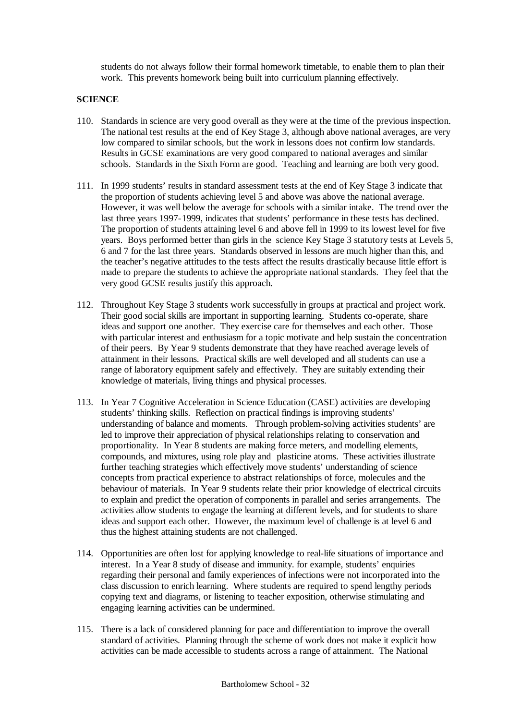students do not always follow their formal homework timetable, to enable them to plan their work. This prevents homework being built into curriculum planning effectively.

## **SCIENCE**

- 110. Standards in science are very good overall as they were at the time of the previous inspection. The national test results at the end of Key Stage 3, although above national averages, are very low compared to similar schools, but the work in lessons does not confirm low standards. Results in GCSE examinations are very good compared to national averages and similar schools. Standards in the Sixth Form are good. Teaching and learning are both very good.
- 111. In 1999 students' results in standard assessment tests at the end of Key Stage 3 indicate that the proportion of students achieving level 5 and above was above the national average. However, it was well below the average for schools with a similar intake. The trend over the last three years 1997-1999, indicates that students' performance in these tests has declined. The proportion of students attaining level 6 and above fell in 1999 to its lowest level for five years. Boys performed better than girls in the science Key Stage 3 statutory tests at Levels 5, 6 and 7 for the last three years. Standards observed in lessons are much higher than this, and the teacher's negative attitudes to the tests affect the results drastically because little effort is made to prepare the students to achieve the appropriate national standards. They feel that the very good GCSE results justify this approach.
- 112. Throughout Key Stage 3 students work successfully in groups at practical and project work. Their good social skills are important in supporting learning. Students co-operate, share ideas and support one another. They exercise care for themselves and each other. Those with particular interest and enthusiasm for a topic motivate and help sustain the concentration of their peers. By Year 9 students demonstrate that they have reached average levels of attainment in their lessons. Practical skills are well developed and all students can use a range of laboratory equipment safely and effectively. They are suitably extending their knowledge of materials, living things and physical processes.
- 113. In Year 7 Cognitive Acceleration in Science Education (CASE) activities are developing students' thinking skills. Reflection on practical findings is improving students' understanding of balance and moments. Through problem-solving activities students' are led to improve their appreciation of physical relationships relating to conservation and proportionality. In Year 8 students are making force meters, and modelling elements, compounds, and mixtures, using role play and plasticine atoms. These activities illustrate further teaching strategies which effectively move students' understanding of science concepts from practical experience to abstract relationships of force, molecules and the behaviour of materials. In Year 9 students relate their prior knowledge of electrical circuits to explain and predict the operation of components in parallel and series arrangements. The activities allow students to engage the learning at different levels, and for students to share ideas and support each other. However, the maximum level of challenge is at level 6 and thus the highest attaining students are not challenged.
- 114. Opportunities are often lost for applying knowledge to real-life situations of importance and interest. In a Year 8 study of disease and immunity. for example, students' enquiries regarding their personal and family experiences of infections were not incorporated into the class discussion to enrich learning. Where students are required to spend lengthy periods copying text and diagrams, or listening to teacher exposition, otherwise stimulating and engaging learning activities can be undermined.
- 115. There is a lack of considered planning for pace and differentiation to improve the overall standard of activities. Planning through the scheme of work does not make it explicit how activities can be made accessible to students across a range of attainment. The National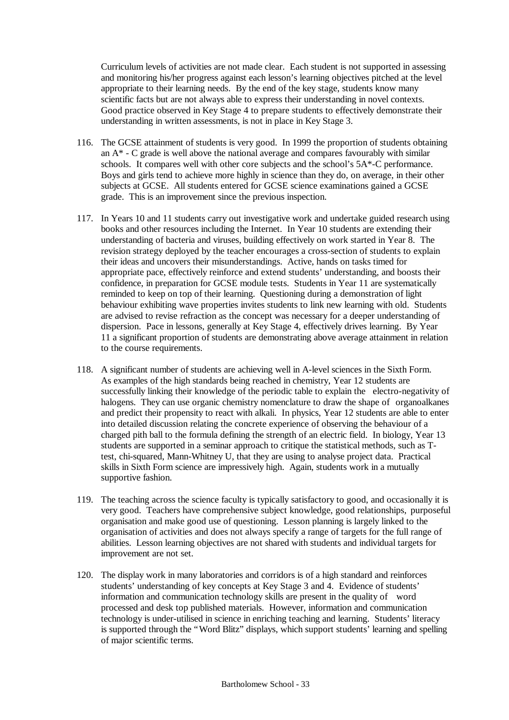Curriculum levels of activities are not made clear. Each student is not supported in assessing and monitoring his/her progress against each lesson's learning objectives pitched at the level appropriate to their learning needs. By the end of the key stage, students know many scientific facts but are not always able to express their understanding in novel contexts. Good practice observed in Key Stage 4 to prepare students to effectively demonstrate their understanding in written assessments, is not in place in Key Stage 3.

- 116. The GCSE attainment of students is very good. In 1999 the proportion of students obtaining an  $A^*$  - C grade is well above the national average and compares favourably with similar schools. It compares well with other core subjects and the school's 5A\*-C performance. Boys and girls tend to achieve more highly in science than they do, on average, in their other subjects at GCSE. All students entered for GCSE science examinations gained a GCSE grade. This is an improvement since the previous inspection.
- 117. In Years 10 and 11 students carry out investigative work and undertake guided research using books and other resources including the Internet. In Year 10 students are extending their understanding of bacteria and viruses, building effectively on work started in Year 8. The revision strategy deployed by the teacher encourages a cross-section of students to explain their ideas and uncovers their misunderstandings. Active, hands on tasks timed for appropriate pace, effectively reinforce and extend students' understanding, and boosts their confidence, in preparation for GCSE module tests. Students in Year 11 are systematically reminded to keep on top of their learning. Questioning during a demonstration of light behaviour exhibiting wave properties invites students to link new learning with old. Students are advised to revise refraction as the concept was necessary for a deeper understanding of dispersion. Pace in lessons, generally at Key Stage 4, effectively drives learning. By Year 11 a significant proportion of students are demonstrating above average attainment in relation to the course requirements.
- 118. A significant number of students are achieving well in A-level sciences in the Sixth Form. As examples of the high standards being reached in chemistry, Year 12 students are successfully linking their knowledge of the periodic table to explain the electro-negativity of halogens. They can use organic chemistry nomenclature to draw the shape of organoalkanes and predict their propensity to react with alkali. In physics, Year 12 students are able to enter into detailed discussion relating the concrete experience of observing the behaviour of a charged pith ball to the formula defining the strength of an electric field. In biology, Year 13 students are supported in a seminar approach to critique the statistical methods, such as Ttest, chi-squared, Mann-Whitney U, that they are using to analyse project data. Practical skills in Sixth Form science are impressively high. Again, students work in a mutually supportive fashion.
- 119. The teaching across the science faculty is typically satisfactory to good, and occasionally it is very good. Teachers have comprehensive subject knowledge, good relationships, purposeful organisation and make good use of questioning. Lesson planning is largely linked to the organisation of activities and does not always specify a range of targets for the full range of abilities. Lesson learning objectives are not shared with students and individual targets for improvement are not set.
- 120. The display work in many laboratories and corridors is of a high standard and reinforces students' understanding of key concepts at Key Stage 3 and 4. Evidence of students' information and communication technology skills are present in the quality of word processed and desk top published materials. However, information and communication technology is under-utilised in science in enriching teaching and learning. Students' literacy is supported through the "Word Blitz" displays, which support students' learning and spelling of major scientific terms.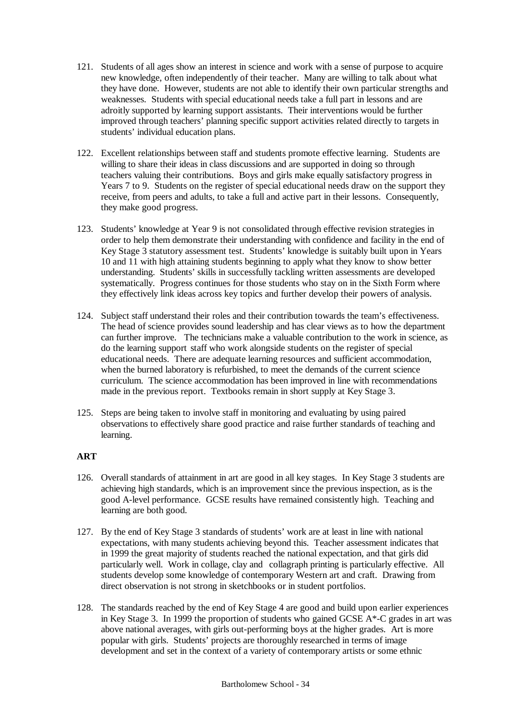- 121. Students of all ages show an interest in science and work with a sense of purpose to acquire new knowledge, often independently of their teacher. Many are willing to talk about what they have done. However, students are not able to identify their own particular strengths and weaknesses. Students with special educational needs take a full part in lessons and are adroitly supported by learning support assistants. Their interventions would be further improved through teachers' planning specific support activities related directly to targets in students' individual education plans.
- 122. Excellent relationships between staff and students promote effective learning. Students are willing to share their ideas in class discussions and are supported in doing so through teachers valuing their contributions. Boys and girls make equally satisfactory progress in Years 7 to 9. Students on the register of special educational needs draw on the support they receive, from peers and adults, to take a full and active part in their lessons. Consequently, they make good progress.
- 123. Students' knowledge at Year 9 is not consolidated through effective revision strategies in order to help them demonstrate their understanding with confidence and facility in the end of Key Stage 3 statutory assessment test. Students' knowledge is suitably built upon in Years 10 and 11 with high attaining students beginning to apply what they know to show better understanding. Students' skills in successfully tackling written assessments are developed systematically. Progress continues for those students who stay on in the Sixth Form where they effectively link ideas across key topics and further develop their powers of analysis.
- 124. Subject staff understand their roles and their contribution towards the team's effectiveness. The head of science provides sound leadership and has clear views as to how the department can further improve. The technicians make a valuable contribution to the work in science, as do the learning support staff who work alongside students on the register of special educational needs. There are adequate learning resources and sufficient accommodation, when the burned laboratory is refurbished, to meet the demands of the current science curriculum. The science accommodation has been improved in line with recommendations made in the previous report. Textbooks remain in short supply at Key Stage 3.
- 125. Steps are being taken to involve staff in monitoring and evaluating by using paired observations to effectively share good practice and raise further standards of teaching and learning.

# **ART**

- 126. Overall standards of attainment in art are good in all key stages. In Key Stage 3 students are achieving high standards, which is an improvement since the previous inspection, as is the good A-level performance. GCSE results have remained consistently high. Teaching and learning are both good.
- 127. By the end of Key Stage 3 standards of students' work are at least in line with national expectations, with many students achieving beyond this. Teacher assessment indicates that in 1999 the great majority of students reached the national expectation, and that girls did particularly well. Work in collage, clay and collagraph printing is particularly effective. All students develop some knowledge of contemporary Western art and craft. Drawing from direct observation is not strong in sketchbooks or in student portfolios.
- 128. The standards reached by the end of Key Stage 4 are good and build upon earlier experiences in Key Stage 3. In 1999 the proportion of students who gained GCSE A\*-C grades in art was above national averages, with girls out-performing boys at the higher grades. Art is more popular with girls. Students' projects are thoroughly researched in terms of image development and set in the context of a variety of contemporary artists or some ethnic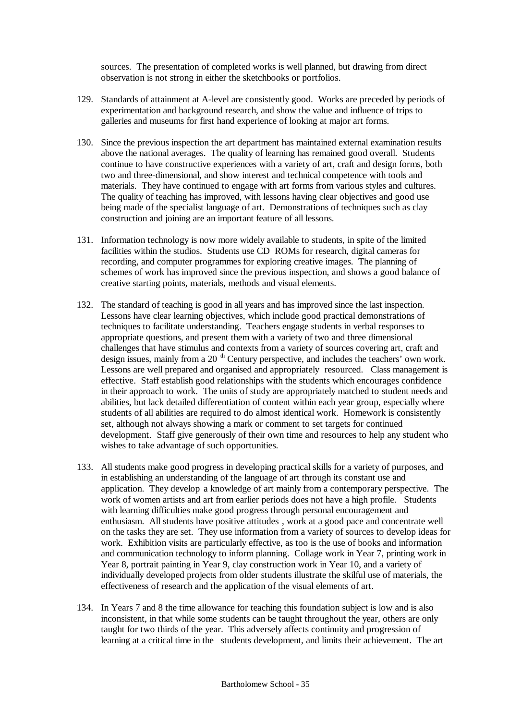sources. The presentation of completed works is well planned, but drawing from direct observation is not strong in either the sketchbooks or portfolios.

- 129. Standards of attainment at A-level are consistently good. Works are preceded by periods of experimentation and background research, and show the value and influence of trips to galleries and museums for first hand experience of looking at major art forms.
- 130. Since the previous inspection the art department has maintained external examination results above the national averages. The quality of learning has remained good overall. Students continue to have constructive experiences with a variety of art, craft and design forms, both two and three-dimensional, and show interest and technical competence with tools and materials. They have continued to engage with art forms from various styles and cultures. The quality of teaching has improved, with lessons having clear objectives and good use being made of the specialist language of art. Demonstrations of techniques such as clay construction and joining are an important feature of all lessons.
- 131. Information technology is now more widely available to students, in spite of the limited facilities within the studios. Students use CD ROMs for research, digital cameras for recording, and computer programmes for exploring creative images. The planning of schemes of work has improved since the previous inspection, and shows a good balance of creative starting points, materials, methods and visual elements.
- 132. The standard of teaching is good in all years and has improved since the last inspection. Lessons have clear learning objectives, which include good practical demonstrations of techniques to facilitate understanding. Teachers engage students in verbal responses to appropriate questions, and present them with a variety of two and three dimensional challenges that have stimulus and contexts from a variety of sources covering art, craft and design issues, mainly from a 20<sup>th</sup> Century perspective, and includes the teachers' own work. Lessons are well prepared and organised and appropriately resourced. Class management is effective. Staff establish good relationships with the students which encourages confidence in their approach to work. The units of study are appropriately matched to student needs and abilities, but lack detailed differentiation of content within each year group, especially where students of all abilities are required to do almost identical work. Homework is consistently set, although not always showing a mark or comment to set targets for continued development. Staff give generously of their own time and resources to help any student who wishes to take advantage of such opportunities.
- 133. All students make good progress in developing practical skills for a variety of purposes, and in establishing an understanding of the language of art through its constant use and application. They develop a knowledge of art mainly from a contemporary perspective. The work of women artists and art from earlier periods does not have a high profile. Students with learning difficulties make good progress through personal encouragement and enthusiasm. All students have positive attitudes , work at a good pace and concentrate well on the tasks they are set. They use information from a variety of sources to develop ideas for work. Exhibition visits are particularly effective, as too is the use of books and information and communication technology to inform planning. Collage work in Year 7, printing work in Year 8, portrait painting in Year 9, clay construction work in Year 10, and a variety of individually developed projects from older students illustrate the skilful use of materials, the effectiveness of research and the application of the visual elements of art.
- 134. In Years 7 and 8 the time allowance for teaching this foundation subject is low and is also inconsistent, in that while some students can be taught throughout the year, others are only taught for two thirds of the year. This adversely affects continuity and progression of learning at a critical time in the students development, and limits their achievement. The art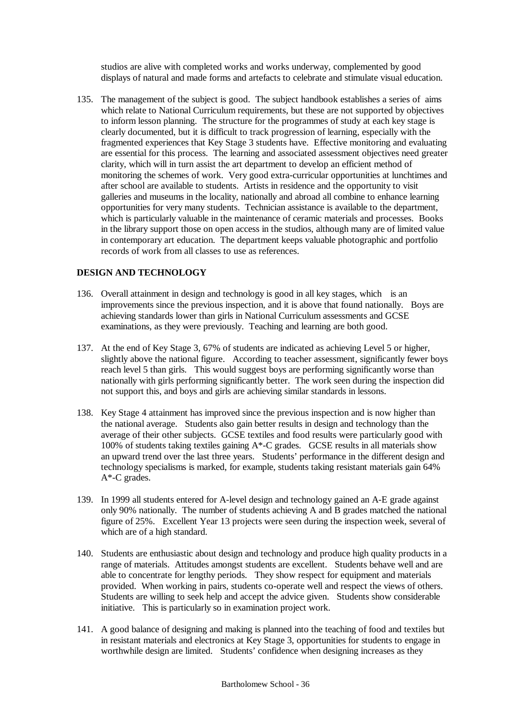studios are alive with completed works and works underway, complemented by good displays of natural and made forms and artefacts to celebrate and stimulate visual education.

135. The management of the subject is good. The subject handbook establishes a series of aims which relate to National Curriculum requirements, but these are not supported by objectives to inform lesson planning. The structure for the programmes of study at each key stage is clearly documented, but it is difficult to track progression of learning, especially with the fragmented experiences that Key Stage 3 students have. Effective monitoring and evaluating are essential for this process. The learning and associated assessment objectives need greater clarity, which will in turn assist the art department to develop an efficient method of monitoring the schemes of work. Very good extra-curricular opportunities at lunchtimes and after school are available to students. Artists in residence and the opportunity to visit galleries and museums in the locality, nationally and abroad all combine to enhance learning opportunities for very many students. Technician assistance is available to the department, which is particularly valuable in the maintenance of ceramic materials and processes. Books in the library support those on open access in the studios, although many are of limited value in contemporary art education. The department keeps valuable photographic and portfolio records of work from all classes to use as references.

## **DESIGN AND TECHNOLOGY**

- 136. Overall attainment in design and technology is good in all key stages, which is an improvements since the previous inspection, and it is above that found nationally. Boys are achieving standards lower than girls in National Curriculum assessments and GCSE examinations, as they were previously. Teaching and learning are both good.
- 137. At the end of Key Stage 3, 67% of students are indicated as achieving Level 5 or higher, slightly above the national figure. According to teacher assessment, significantly fewer boys reach level 5 than girls. This would suggest boys are performing significantly worse than nationally with girls performing significantly better. The work seen during the inspection did not support this, and boys and girls are achieving similar standards in lessons.
- 138. Key Stage 4 attainment has improved since the previous inspection and is now higher than the national average. Students also gain better results in design and technology than the average of their other subjects. GCSE textiles and food results were particularly good with 100% of students taking textiles gaining  $A^*$ -C grades. GCSE results in all materials show an upward trend over the last three years. Students' performance in the different design and technology specialisms is marked, for example, students taking resistant materials gain 64% A\*-C grades.
- 139. In 1999 all students entered for A-level design and technology gained an A-E grade against only 90% nationally. The number of students achieving A and B grades matched the national figure of 25%. Excellent Year 13 projects were seen during the inspection week, several of which are of a high standard.
- 140. Students are enthusiastic about design and technology and produce high quality products in a range of materials. Attitudes amongst students are excellent. Students behave well and are able to concentrate for lengthy periods. They show respect for equipment and materials provided. When working in pairs, students co-operate well and respect the views of others. Students are willing to seek help and accept the advice given. Students show considerable initiative. This is particularly so in examination project work.
- 141. A good balance of designing and making is planned into the teaching of food and textiles but in resistant materials and electronics at Key Stage 3, opportunities for students to engage in worthwhile design are limited. Students' confidence when designing increases as they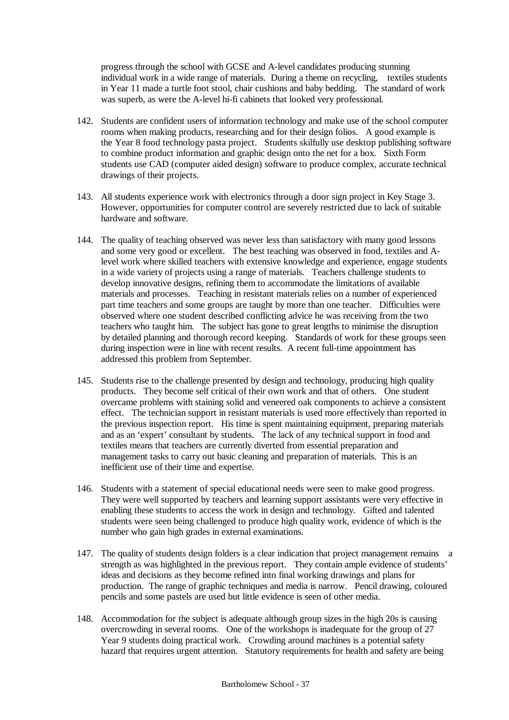progress through the school with GCSE and A-level candidates producing stunning individual work in a wide range of materials. During a theme on recycling, textiles students in Year 11 made a turtle foot stool, chair cushions and baby bedding. The standard of work was superb, as were the A-level hi-fi cabinets that looked very professional.

- 142. Students are confident users of information technology and make use of the school computer rooms when making products, researching and for their design folios. A good example is the Year 8 food technology pasta project. Students skilfully use desktop publishing software to combine product information and graphic design onto the net for a box. Sixth Form students use CAD (computer aided design) software to produce complex, accurate technical drawings of their projects.
- 143. All students experience work with electronics through a door sign project in Key Stage 3. However, opportunities for computer control are severely restricted due to lack of suitable hardware and software.
- 144. The quality of teaching observed was never less than satisfactory with many good lessons and some very good or excellent. The best teaching was observed in food, textiles and Alevel work where skilled teachers with extensive knowledge and experience, engage students in a wide variety of projects using a range of materials. Teachers challenge students to develop innovative designs, refining them to accommodate the limitations of available materials and processes. Teaching in resistant materials relies on a number of experienced part time teachers and some groups are taught by more than one teacher. Difficulties were observed where one student described conflicting advice he was receiving from the two teachers who taught him. The subject has gone to great lengths to minimise the disruption by detailed planning and thorough record keeping. Standards of work for these groups seen during inspection were in line with recent results. A recent full-time appointment has addressed this problem from September.
- 145. Students rise to the challenge presented by design and technology, producing high quality products. They become self critical of their own work and that of others. One student overcame problems with staining solid and veneered oak components to achieve a consistent effect. The technician support in resistant materials is used more effectively than reported in the previous inspection report. His time is spent maintaining equipment, preparing materials and as an 'expert' consultant by students. The lack of any technical support in food and textiles means that teachers are currently diverted from essential preparation and management tasks to carry out basic cleaning and preparation of materials. This is an inefficient use of their time and expertise.
- 146. Students with a statement of special educational needs were seen to make good progress. They were well supported by teachers and learning support assistants were very effective in enabling these students to access the work in design and technology. Gifted and talented students were seen being challenged to produce high quality work, evidence of which is the number who gain high grades in external examinations.
- 147. The quality of students design folders is a clear indication that project management remains a strength as was highlighted in the previous report. They contain ample evidence of students' ideas and decisions as they become refined into final working drawings and plans for production. The range of graphic techniques and media is narrow. Pencil drawing, coloured pencils and some pastels are used but little evidence is seen of other media.
- 148. Accommodation for the subject is adequate although group sizes in the high 20s is causing overcrowding in several rooms. One of the workshops is inadequate for the group of 27 Year 9 students doing practical work. Crowding around machines is a potential safety hazard that requires urgent attention. Statutory requirements for health and safety are being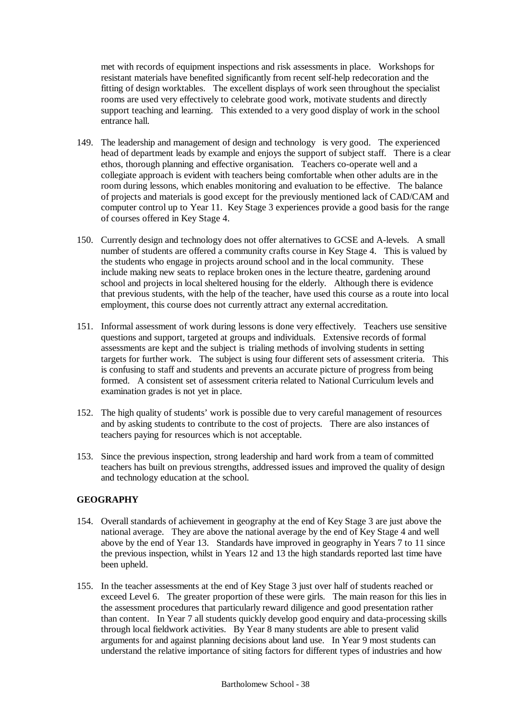met with records of equipment inspections and risk assessments in place. Workshops for resistant materials have benefited significantly from recent self-help redecoration and the fitting of design worktables. The excellent displays of work seen throughout the specialist rooms are used very effectively to celebrate good work, motivate students and directly support teaching and learning. This extended to a very good display of work in the school entrance hall.

- 149. The leadership and management of design and technology is very good. The experienced head of department leads by example and enjoys the support of subject staff. There is a clear ethos, thorough planning and effective organisation. Teachers co-operate well and a collegiate approach is evident with teachers being comfortable when other adults are in the room during lessons, which enables monitoring and evaluation to be effective. The balance of projects and materials is good except for the previously mentioned lack of CAD/CAM and computer control up to Year 11. Key Stage 3 experiences provide a good basis for the range of courses offered in Key Stage 4.
- 150. Currently design and technology does not offer alternatives to GCSE and A-levels. A small number of students are offered a community crafts course in Key Stage 4. This is valued by the students who engage in projects around school and in the local community. These include making new seats to replace broken ones in the lecture theatre, gardening around school and projects in local sheltered housing for the elderly. Although there is evidence that previous students, with the help of the teacher, have used this course as a route into local employment, this course does not currently attract any external accreditation.
- 151. Informal assessment of work during lessons is done very effectively. Teachers use sensitive questions and support, targeted at groups and individuals. Extensive records of formal assessments are kept and the subject is trialing methods of involving students in setting targets for further work. The subject is using four different sets of assessment criteria. This is confusing to staff and students and prevents an accurate picture of progress from being formed. A consistent set of assessment criteria related to National Curriculum levels and examination grades is not yet in place.
- 152. The high quality of students' work is possible due to very careful management of resources and by asking students to contribute to the cost of projects. There are also instances of teachers paying for resources which is not acceptable.
- 153. Since the previous inspection, strong leadership and hard work from a team of committed teachers has built on previous strengths, addressed issues and improved the quality of design and technology education at the school.

## **GEOGRAPHY**

- 154. Overall standards of achievement in geography at the end of Key Stage 3 are just above the national average. They are above the national average by the end of Key Stage 4 and well above by the end of Year 13. Standards have improved in geography in Years 7 to 11 since the previous inspection, whilst in Years 12 and 13 the high standards reported last time have been upheld.
- 155. In the teacher assessments at the end of Key Stage 3 just over half of students reached or exceed Level 6. The greater proportion of these were girls. The main reason for this lies in the assessment procedures that particularly reward diligence and good presentation rather than content. In Year 7 all students quickly develop good enquiry and data-processing skills through local fieldwork activities. By Year 8 many students are able to present valid arguments for and against planning decisions about land use. In Year 9 most students can understand the relative importance of siting factors for different types of industries and how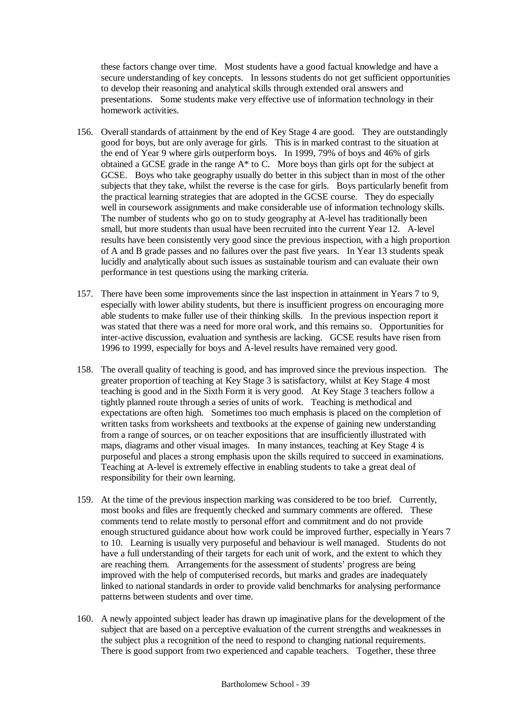these factors change over time. Most students have a good factual knowledge and have a secure understanding of key concepts. In lessons students do not get sufficient opportunities to develop their reasoning and analytical skills through extended oral answers and presentations. Some students make very effective use of information technology in their homework activities.

- 156. Overall standards of attainment by the end of Key Stage 4 are good. They are outstandingly good for boys, but are only average for girls. This is in marked contrast to the situation at the end of Year 9 where girls outperform boys. In 1999, 79% of boys and 46% of girls obtained a GCSE grade in the range A\* to C. More boys than girls opt for the subject at GCSE. Boys who take geography usually do better in this subject than in most of the other subjects that they take, whilst the reverse is the case for girls. Boys particularly benefit from the practical learning strategies that are adopted in the GCSE course. They do especially well in coursework assignments and make considerable use of information technology skills. The number of students who go on to study geography at A-level has traditionally been small, but more students than usual have been recruited into the current Year 12. A-level results have been consistently very good since the previous inspection, with a high proportion of A and B grade passes and no failures over the past five years. In Year 13 students speak lucidly and analytically about such issues as sustainable tourism and can evaluate their own performance in test questions using the marking criteria.
- 157. There have been some improvements since the last inspection in attainment in Years 7 to 9, especially with lower ability students, but there is insufficient progress on encouraging more able students to make fuller use of their thinking skills. In the previous inspection report it was stated that there was a need for more oral work, and this remains so. Opportunities for inter-active discussion, evaluation and synthesis are lacking. GCSE results have risen from 1996 to 1999, especially for boys and A-level results have remained very good.
- 158. The overall quality of teaching is good, and has improved since the previous inspection. The greater proportion of teaching at Key Stage 3 is satisfactory, whilst at Key Stage 4 most teaching is good and in the Sixth Form it is very good. At Key Stage 3 teachers follow a tightly planned route through a series of units of work. Teaching is methodical and expectations are often high. Sometimes too much emphasis is placed on the completion of written tasks from worksheets and textbooks at the expense of gaining new understanding from a range of sources, or on teacher expositions that are insufficiently illustrated with maps, diagrams and other visual images. In many instances, teaching at Key Stage 4 is purposeful and places a strong emphasis upon the skills required to succeed in examinations. Teaching at A-level is extremely effective in enabling students to take a great deal of responsibility for their own learning.
- 159. At the time of the previous inspection marking was considered to be too brief. Currently, most books and files are frequently checked and summary comments are offered. These comments tend to relate mostly to personal effort and commitment and do not provide enough structured guidance about how work could be improved further, especially in Years 7 to 10. Learning is usually very purposeful and behaviour is well managed. Students do not have a full understanding of their targets for each unit of work, and the extent to which they are reaching them. Arrangements for the assessment of students' progress are being improved with the help of computerised records, but marks and grades are inadequately linked to national standards in order to provide valid benchmarks for analysing performance patterns between students and over time.
- 160. A newly appointed subject leader has drawn up imaginative plans for the development of the subject that are based on a perceptive evaluation of the current strengths and weaknesses in the subject plus a recognition of the need to respond to changing national requirements. There is good support from two experienced and capable teachers. Together, these three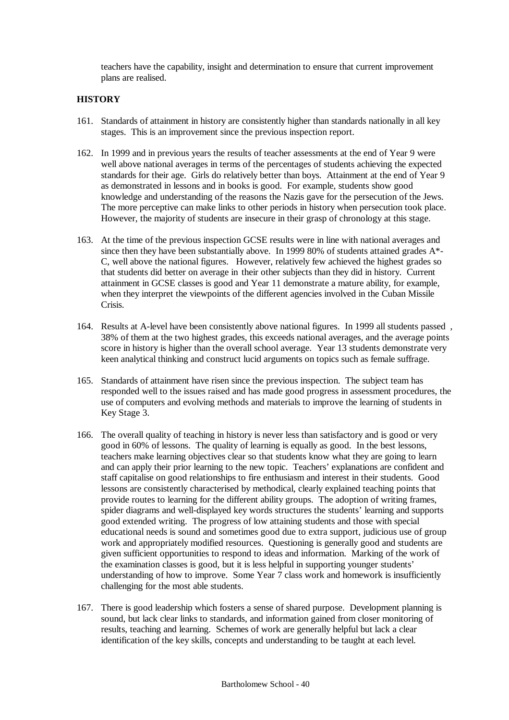teachers have the capability, insight and determination to ensure that current improvement plans are realised.

# **HISTORY**

- 161. Standards of attainment in history are consistently higher than standards nationally in all key stages. This is an improvement since the previous inspection report.
- 162. In 1999 and in previous years the results of teacher assessments at the end of Year 9 were well above national averages in terms of the percentages of students achieving the expected standards for their age. Girls do relatively better than boys. Attainment at the end of Year 9 as demonstrated in lessons and in books is good. For example, students show good knowledge and understanding of the reasons the Nazis gave for the persecution of the Jews. The more perceptive can make links to other periods in history when persecution took place. However, the majority of students are insecure in their grasp of chronology at this stage.
- 163. At the time of the previous inspection GCSE results were in line with national averages and since then they have been substantially above. In 1999 80% of students attained grades A\*- C, well above the national figures. However, relatively few achieved the highest grades so that students did better on average in their other subjects than they did in history. Current attainment in GCSE classes is good and Year 11 demonstrate a mature ability, for example, when they interpret the viewpoints of the different agencies involved in the Cuban Missile Crisis.
- 164. Results at A-level have been consistently above national figures. In 1999 all students passed , 38% of them at the two highest grades, this exceeds national averages, and the average points score in history is higher than the overall school average. Year 13 students demonstrate very keen analytical thinking and construct lucid arguments on topics such as female suffrage.
- 165. Standards of attainment have risen since the previous inspection. The subject team has responded well to the issues raised and has made good progress in assessment procedures, the use of computers and evolving methods and materials to improve the learning of students in Key Stage 3.
- 166. The overall quality of teaching in history is never less than satisfactory and is good or very good in 60% of lessons. The quality of learning is equally as good. In the best lessons, teachers make learning objectives clear so that students know what they are going to learn and can apply their prior learning to the new topic. Teachers' explanations are confident and staff capitalise on good relationships to fire enthusiasm and interest in their students. Good lessons are consistently characterised by methodical, clearly explained teaching points that provide routes to learning for the different ability groups. The adoption of writing frames, spider diagrams and well-displayed key words structures the students' learning and supports good extended writing. The progress of low attaining students and those with special educational needs is sound and sometimes good due to extra support, judicious use of group work and appropriately modified resources. Questioning is generally good and students are given sufficient opportunities to respond to ideas and information. Marking of the work of the examination classes is good, but it is less helpful in supporting younger students' understanding of how to improve. Some Year  $\overline{7}$  class work and homework is insufficiently challenging for the most able students.
- 167. There is good leadership which fosters a sense of shared purpose. Development planning is sound, but lack clear links to standards, and information gained from closer monitoring of results, teaching and learning. Schemes of work are generally helpful but lack a clear identification of the key skills, concepts and understanding to be taught at each level.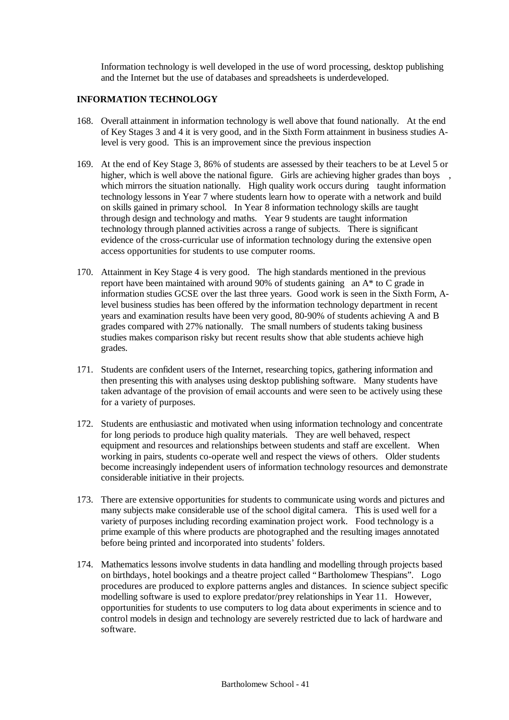Information technology is well developed in the use of word processing, desktop publishing and the Internet but the use of databases and spreadsheets is underdeveloped.

# **INFORMATION TECHNOLOGY**

- 168. Overall attainment in information technology is well above that found nationally. At the end of Key Stages 3 and 4 it is very good, and in the Sixth Form attainment in business studies Alevel is very good. This is an improvement since the previous inspection
- 169. At the end of Key Stage 3, 86% of students are assessed by their teachers to be at Level 5 or higher, which is well above the national figure. Girls are achieving higher grades than boys , which mirrors the situation nationally. High quality work occurs during taught information technology lessons in Year 7 where students learn how to operate with a network and build on skills gained in primary school. In Year 8 information technology skills are taught through design and technology and maths. Year 9 students are taught information technology through planned activities across a range of subjects. There is significant evidence of the cross-curricular use of information technology during the extensive open access opportunities for students to use computer rooms.
- 170. Attainment in Key Stage 4 is very good. The high standards mentioned in the previous report have been maintained with around 90% of students gaining an A\* to C grade in information studies GCSE over the last three years. Good work is seen in the Sixth Form, Alevel business studies has been offered by the information technology department in recent years and examination results have been very good, 80-90% of students achieving A and B grades compared with 27% nationally. The small numbers of students taking business studies makes comparison risky but recent results show that able students achieve high grades.
- 171. Students are confident users of the Internet, researching topics, gathering information and then presenting this with analyses using desktop publishing software. Many students have taken advantage of the provision of email accounts and were seen to be actively using these for a variety of purposes.
- 172. Students are enthusiastic and motivated when using information technology and concentrate for long periods to produce high quality materials. They are well behaved, respect equipment and resources and relationships between students and staff are excellent. When working in pairs, students co-operate well and respect the views of others. Older students become increasingly independent users of information technology resources and demonstrate considerable initiative in their projects.
- 173. There are extensive opportunities for students to communicate using words and pictures and many subjects make considerable use of the school digital camera. This is used well for a variety of purposes including recording examination project work. Food technology is a prime example of this where products are photographed and the resulting images annotated before being printed and incorporated into students' folders.
- 174. Mathematics lessons involve students in data handling and modelling through projects based on birthdays, hotel bookings and a theatre project called "Bartholomew Thespians". Logo procedures are produced to explore patterns angles and distances. In science subject specific modelling software is used to explore predator/prey relationships in Year 11. However, opportunities for students to use computers to log data about experiments in science and to control models in design and technology are severely restricted due to lack of hardware and software.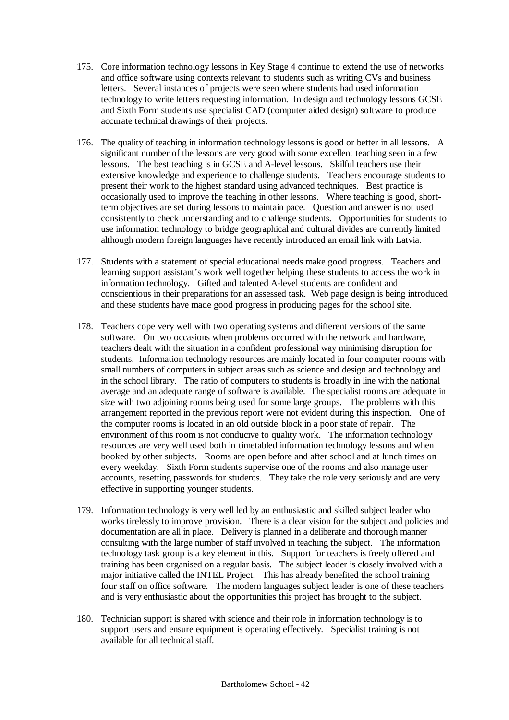- 175. Core information technology lessons in Key Stage 4 continue to extend the use of networks and office software using contexts relevant to students such as writing CVs and business letters. Several instances of projects were seen where students had used information technology to write letters requesting information. In design and technology lessons GCSE and Sixth Form students use specialist CAD (computer aided design) software to produce accurate technical drawings of their projects.
- 176. The quality of teaching in information technology lessons is good or better in all lessons. A significant number of the lessons are very good with some excellent teaching seen in a few lessons. The best teaching is in GCSE and A-level lessons. Skilful teachers use their extensive knowledge and experience to challenge students. Teachers encourage students to present their work to the highest standard using advanced techniques. Best practice is occasionally used to improve the teaching in other lessons. Where teaching is good, shortterm objectives are set during lessons to maintain pace. Question and answer is not used consistently to check understanding and to challenge students. Opportunities for students to use information technology to bridge geographical and cultural divides are currently limited although modern foreign languages have recently introduced an email link with Latvia.
- 177. Students with a statement of special educational needs make good progress. Teachers and learning support assistant's work well together helping these students to access the work in information technology. Gifted and talented A-level students are confident and conscientious in their preparations for an assessed task. Web page design is being introduced and these students have made good progress in producing pages for the school site.
- 178. Teachers cope very well with two operating systems and different versions of the same software. On two occasions when problems occurred with the network and hardware, teachers dealt with the situation in a confident professional way minimising disruption for students. Information technology resources are mainly located in four computer rooms with small numbers of computers in subject areas such as science and design and technology and in the school library. The ratio of computers to students is broadly in line with the national average and an adequate range of software is available. The specialist rooms are adequate in size with two adjoining rooms being used for some large groups. The problems with this arrangement reported in the previous report were not evident during this inspection. One of the computer rooms is located in an old outside block in a poor state of repair. The environment of this room is not conducive to quality work. The information technology resources are very well used both in timetabled information technology lessons and when booked by other subjects. Rooms are open before and after school and at lunch times on every weekday. Sixth Form students supervise one of the rooms and also manage user accounts, resetting passwords for students. They take the role very seriously and are very effective in supporting younger students.
- 179. Information technology is very well led by an enthusiastic and skilled subject leader who works tirelessly to improve provision. There is a clear vision for the subject and policies and documentation are all in place. Delivery is planned in a deliberate and thorough manner consulting with the large number of staff involved in teaching the subject. The information technology task group is a key element in this. Support for teachers is freely offered and training has been organised on a regular basis. The subject leader is closely involved with a major initiative called the INTEL Project. This has already benefited the school training four staff on office software. The modern languages subject leader is one of these teachers and is very enthusiastic about the opportunities this project has brought to the subject.
- 180. Technician support is shared with science and their role in information technology is to support users and ensure equipment is operating effectively. Specialist training is not available for all technical staff.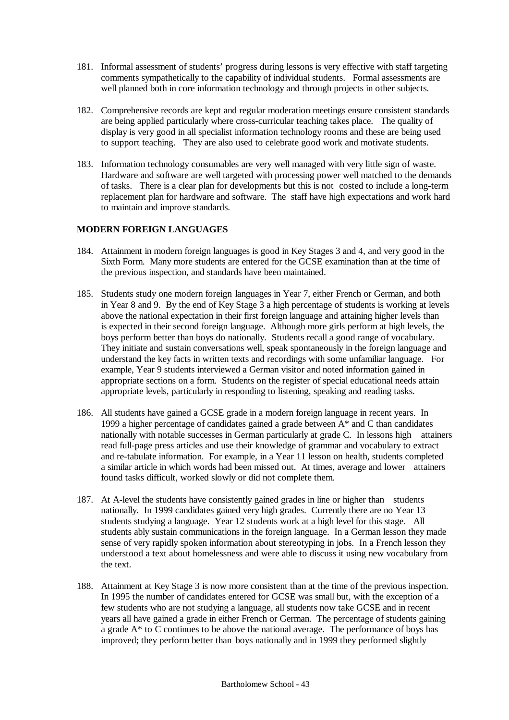- 181. Informal assessment of students' progress during lessons is very effective with staff targeting comments sympathetically to the capability of individual students. Formal assessments are well planned both in core information technology and through projects in other subjects.
- 182. Comprehensive records are kept and regular moderation meetings ensure consistent standards are being applied particularly where cross-curricular teaching takes place. The quality of display is very good in all specialist information technology rooms and these are being used to support teaching. They are also used to celebrate good work and motivate students.
- 183. Information technology consumables are very well managed with very little sign of waste. Hardware and software are well targeted with processing power well matched to the demands of tasks. There is a clear plan for developments but this is not costed to include a long-term replacement plan for hardware and software. The staff have high expectations and work hard to maintain and improve standards.

# **MODERN FOREIGN LANGUAGES**

- 184. Attainment in modern foreign languages is good in Key Stages 3 and 4, and very good in the Sixth Form. Many more students are entered for the GCSE examination than at the time of the previous inspection, and standards have been maintained.
- 185. Students study one modern foreign languages in Year 7, either French or German, and both in Year 8 and 9. By the end of Key Stage 3 a high percentage of students is working at levels above the national expectation in their first foreign language and attaining higher levels than is expected in their second foreign language. Although more girls perform at high levels, the boys perform better than boys do nationally. Students recall a good range of vocabulary. They initiate and sustain conversations well, speak spontaneously in the foreign language and understand the key facts in written texts and recordings with some unfamiliar language. For example, Year 9 students interviewed a German visitor and noted information gained in appropriate sections on a form. Students on the register of special educational needs attain appropriate levels, particularly in responding to listening, speaking and reading tasks.
- 186. All students have gained a GCSE grade in a modern foreign language in recent years. In 1999 a higher percentage of candidates gained a grade between A\* and C than candidates nationally with notable successes in German particularly at grade C. In lessons high attainers read full-page press articles and use their knowledge of grammar and vocabulary to extract and re-tabulate information. For example, in a Year 11 lesson on health, students completed a similar article in which words had been missed out. At times, average and lower attainers found tasks difficult, worked slowly or did not complete them.
- 187. At A-level the students have consistently gained grades in line or higher than students nationally. In 1999 candidates gained very high grades. Currently there are no Year 13 students studying a language. Year 12 students work at a high level for this stage. All students ably sustain communications in the foreign language. In a German lesson they made sense of very rapidly spoken information about stereotyping in jobs. In a French lesson they understood a text about homelessness and were able to discuss it using new vocabulary from the text.
- 188. Attainment at Key Stage 3 is now more consistent than at the time of the previous inspection. In 1995 the number of candidates entered for GCSE was small but, with the exception of a few students who are not studying a language, all students now take GCSE and in recent years all have gained a grade in either French or German. The percentage of students gaining a grade  $A^*$  to  $\overline{C}$  continues to be above the national average. The performance of boys has improved; they perform better than boys nationally and in 1999 they performed slightly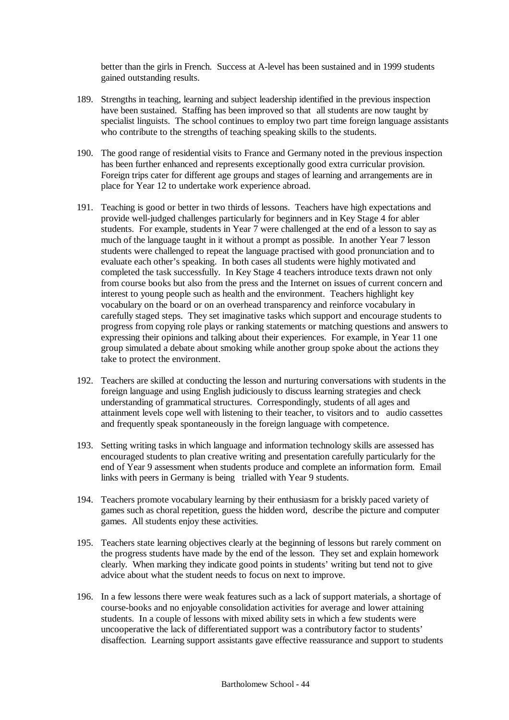better than the girls in French. Success at A-level has been sustained and in 1999 students gained outstanding results.

- 189. Strengths in teaching, learning and subject leadership identified in the previous inspection have been sustained. Staffing has been improved so that all students are now taught by specialist linguists. The school continues to employ two part time foreign language assistants who contribute to the strengths of teaching speaking skills to the students.
- 190. The good range of residential visits to France and Germany noted in the previous inspection has been further enhanced and represents exceptionally good extra curricular provision. Foreign trips cater for different age groups and stages of learning and arrangements are in place for Year 12 to undertake work experience abroad.
- 191. Teaching is good or better in two thirds of lessons. Teachers have high expectations and provide well-judged challenges particularly for beginners and in Key Stage 4 for abler students. For example, students in Year 7 were challenged at the end of a lesson to say as much of the language taught in it without a prompt as possible. In another Year 7 lesson students were challenged to repeat the language practised with good pronunciation and to evaluate each other's speaking. In both cases all students were highly motivated and completed the task successfully. In Key Stage 4 teachers introduce texts drawn not only from course books but also from the press and the Internet on issues of current concern and interest to young people such as health and the environment. Teachers highlight key vocabulary on the board or on an overhead transparency and reinforce vocabulary in carefully staged steps. They set imaginative tasks which support and encourage students to progress from copying role plays or ranking statements or matching questions and answers to expressing their opinions and talking about their experiences. For example, in Year 11 one group simulated a debate about smoking while another group spoke about the actions they take to protect the environment.
- 192. Teachers are skilled at conducting the lesson and nurturing conversations with students in the foreign language and using English judiciously to discuss learning strategies and check understanding of grammatical structures. Correspondingly, students of all ages and attainment levels cope well with listening to their teacher, to visitors and to audio cassettes and frequently speak spontaneously in the foreign language with competence.
- 193. Setting writing tasks in which language and information technology skills are assessed has encouraged students to plan creative writing and presentation carefully particularly for the end of Year 9 assessment when students produce and complete an information form. Email links with peers in Germany is being trialled with Year 9 students.
- 194. Teachers promote vocabulary learning by their enthusiasm for a briskly paced variety of games such as choral repetition, guess the hidden word, describe the picture and computer games. All students enjoy these activities.
- 195. Teachers state learning objectives clearly at the beginning of lessons but rarely comment on the progress students have made by the end of the lesson. They set and explain homework clearly. When marking they indicate good points in students' writing but tend not to give advice about what the student needs to focus on next to improve.
- 196. In a few lessons there were weak features such as a lack of support materials, a shortage of course-books and no enjoyable consolidation activities for average and lower attaining students. In a couple of lessons with mixed ability sets in which a few students were uncooperative the lack of differentiated support was a contributory factor to students' disaffection. Learning support assistants gave effective reassurance and support to students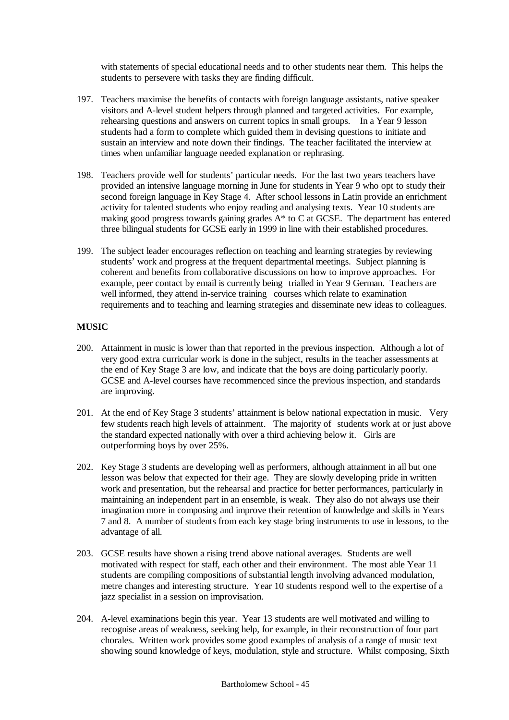with statements of special educational needs and to other students near them. This helps the students to persevere with tasks they are finding difficult.

- 197. Teachers maximise the benefits of contacts with foreign language assistants, native speaker visitors and A-level student helpers through planned and targeted activities. For example, rehearsing questions and answers on current topics in small groups. In a Year 9 lesson students had a form to complete which guided them in devising questions to initiate and sustain an interview and note down their findings. The teacher facilitated the interview at times when unfamiliar language needed explanation or rephrasing.
- 198. Teachers provide well for students' particular needs. For the last two years teachers have provided an intensive language morning in June for students in Year 9 who opt to study their second foreign language in Key Stage 4. After school lessons in Latin provide an enrichment activity for talented students who enjoy reading and analysing texts. Year 10 students are making good progress towards gaining grades  $A^*$  to C at GCSE. The department has entered three bilingual students for GCSE early in 1999 in line with their established procedures.
- 199. The subject leader encourages reflection on teaching and learning strategies by reviewing students' work and progress at the frequent departmental meetings. Subject planning is coherent and benefits from collaborative discussions on how to improve approaches. For example, peer contact by email is currently being trialled in Year 9 German. Teachers are well informed, they attend in-service training courses which relate to examination requirements and to teaching and learning strategies and disseminate new ideas to colleagues.

## **MUSIC**

- 200. Attainment in music is lower than that reported in the previous inspection. Although a lot of very good extra curricular work is done in the subject, results in the teacher assessments at the end of Key Stage 3 are low, and indicate that the boys are doing particularly poorly. GCSE and A-level courses have recommenced since the previous inspection, and standards are improving.
- 201. At the end of Key Stage 3 students' attainment is below national expectation in music. Very few students reach high levels of attainment. The majority of students work at or just above the standard expected nationally with over a third achieving below it. Girls are outperforming boys by over 25%.
- 202. Key Stage 3 students are developing well as performers, although attainment in all but one lesson was below that expected for their age. They are slowly developing pride in written work and presentation, but the rehearsal and practice for better performances, particularly in maintaining an independent part in an ensemble, is weak. They also do not always use their imagination more in composing and improve their retention of knowledge and skills in Years 7 and 8. A number of students from each key stage bring instruments to use in lessons, to the advantage of all.
- 203. GCSE results have shown a rising trend above national averages. Students are well motivated with respect for staff, each other and their environment. The most able Year 11 students are compiling compositions of substantial length involving advanced modulation, metre changes and interesting structure. Year 10 students respond well to the expertise of a jazz specialist in a session on improvisation.
- 204. A-level examinations begin this year. Year 13 students are well motivated and willing to recognise areas of weakness, seeking help, for example, in their reconstruction of four part chorales. Written work provides some good examples of analysis of a range of music text showing sound knowledge of keys, modulation, style and structure. Whilst composing, Sixth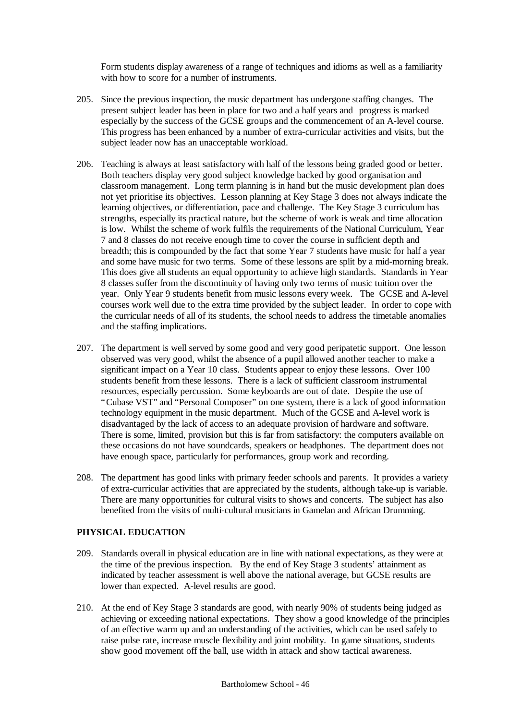Form students display awareness of a range of techniques and idioms as well as a familiarity with how to score for a number of instruments.

- 205. Since the previous inspection, the music department has undergone staffing changes. The present subject leader has been in place for two and a half years and progress is marked especially by the success of the GCSE groups and the commencement of an A-level course. This progress has been enhanced by a number of extra-curricular activities and visits, but the subject leader now has an unacceptable workload.
- 206. Teaching is always at least satisfactory with half of the lessons being graded good or better. Both teachers display very good subject knowledge backed by good organisation and classroom management. Long term planning is in hand but the music development plan does not yet prioritise its objectives. Lesson planning at Key Stage 3 does not always indicate the learning objectives, or differentiation, pace and challenge. The Key Stage 3 curriculum has strengths, especially its practical nature, but the scheme of work is weak and time allocation is low. Whilst the scheme of work fulfils the requirements of the National Curriculum, Year 7 and 8 classes do not receive enough time to cover the course in sufficient depth and breadth; this is compounded by the fact that some Year 7 students have music for half a year and some have music for two terms. Some of these lessons are split by a mid-morning break. This does give all students an equal opportunity to achieve high standards. Standards in Year 8 classes suffer from the discontinuity of having only two terms of music tuition over the year. Only Year 9 students benefit from music lessons every week. The GCSE and A-level courses work well due to the extra time provided by the subject leader. In order to cope with the curricular needs of all of its students, the school needs to address the timetable anomalies and the staffing implications.
- 207. The department is well served by some good and very good peripatetic support. One lesson observed was very good, whilst the absence of a pupil allowed another teacher to make a significant impact on a Year 10 class. Students appear to enjoy these lessons. Over 100 students benefit from these lessons. There is a lack of sufficient classroom instrumental resources, especially percussion. Some keyboards are out of date. Despite the use of "Cubase VST" and "Personal Composer" on one system, there is a lack of good information technology equipment in the music department. Much of the GCSE and A-level work is disadvantaged by the lack of access to an adequate provision of hardware and software. There is some, limited, provision but this is far from satisfactory: the computers available on these occasions do not have soundcards, speakers or headphones. The department does not have enough space, particularly for performances, group work and recording.
- 208. The department has good links with primary feeder schools and parents. It provides a variety of extra-curricular activities that are appreciated by the students, although take-up is variable. There are many opportunities for cultural visits to shows and concerts. The subject has also benefited from the visits of multi-cultural musicians in Gamelan and African Drumming.

## **PHYSICAL EDUCATION**

- 209. Standards overall in physical education are in line with national expectations, as they were at the time of the previous inspection. By the end of Key Stage 3 students' attainment as indicated by teacher assessment is well above the national average, but GCSE results are lower than expected. A-level results are good.
- 210. At the end of Key Stage 3 standards are good, with nearly 90% of students being judged as achieving or exceeding national expectations. They show a good knowledge of the principles of an effective warm up and an understanding of the activities, which can be used safely to raise pulse rate, increase muscle flexibility and joint mobility. In game situations, students show good movement off the ball, use width in attack and show tactical awareness.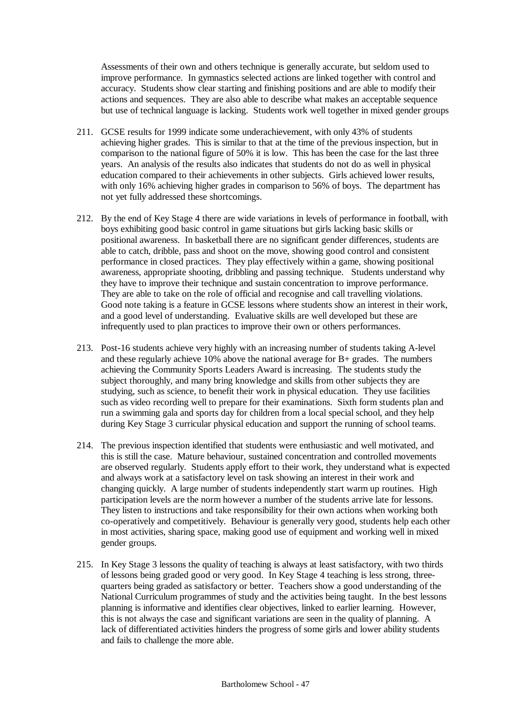Assessments of their own and others technique is generally accurate, but seldom used to improve performance. In gymnastics selected actions are linked together with control and accuracy. Students show clear starting and finishing positions and are able to modify their actions and sequences. They are also able to describe what makes an acceptable sequence but use of technical language is lacking. Students work well together in mixed gender groups

- 211. GCSE results for 1999 indicate some underachievement, with only 43% of students achieving higher grades. This is similar to that at the time of the previous inspection, but in comparison to the national figure of 50% it is low. This has been the case for the last three years. An analysis of the results also indicates that students do not do as well in physical education compared to their achievements in other subjects. Girls achieved lower results, with only 16% achieving higher grades in comparison to 56% of boys. The department has not yet fully addressed these shortcomings.
- 212. By the end of Key Stage 4 there are wide variations in levels of performance in football, with boys exhibiting good basic control in game situations but girls lacking basic skills or positional awareness. In basketball there are no significant gender differences, students are able to catch, dribble, pass and shoot on the move, showing good control and consistent performance in closed practices. They play effectively within a game, showing positional awareness, appropriate shooting, dribbling and passing technique. Students understand why they have to improve their technique and sustain concentration to improve performance. They are able to take on the role of official and recognise and call travelling violations. Good note taking is a feature in GCSE lessons where students show an interest in their work, and a good level of understanding. Evaluative skills are well developed but these are infrequently used to plan practices to improve their own or others performances.
- 213. Post-16 students achieve very highly with an increasing number of students taking A-level and these regularly achieve 10% above the national average for B+ grades. The numbers achieving the Community Sports Leaders Award is increasing. The students study the subject thoroughly, and many bring knowledge and skills from other subjects they are studying, such as science, to benefit their work in physical education. They use facilities such as video recording well to prepare for their examinations. Sixth form students plan and run a swimming gala and sports day for children from a local special school, and they help during Key Stage 3 curricular physical education and support the running of school teams.
- 214. The previous inspection identified that students were enthusiastic and well motivated, and this is still the case. Mature behaviour, sustained concentration and controlled movements are observed regularly. Students apply effort to their work, they understand what is expected and always work at a satisfactory level on task showing an interest in their work and changing quickly. A large number of students independently start warm up routines. High participation levels are the norm however a number of the students arrive late for lessons. They listen to instructions and take responsibility for their own actions when working both co-operatively and competitively. Behaviour is generally very good, students help each other in most activities, sharing space, making good use of equipment and working well in mixed gender groups.
- 215. In Key Stage 3 lessons the quality of teaching is always at least satisfactory, with two thirds of lessons being graded good or very good. In Key Stage 4 teaching is less strong, threequarters being graded as satisfactory or better. Teachers show a good understanding of the National Curriculum programmes of study and the activities being taught. In the best lessons planning is informative and identifies clear objectives, linked to earlier learning. However, this is not always the case and significant variations are seen in the quality of planning. A lack of differentiated activities hinders the progress of some girls and lower ability students and fails to challenge the more able.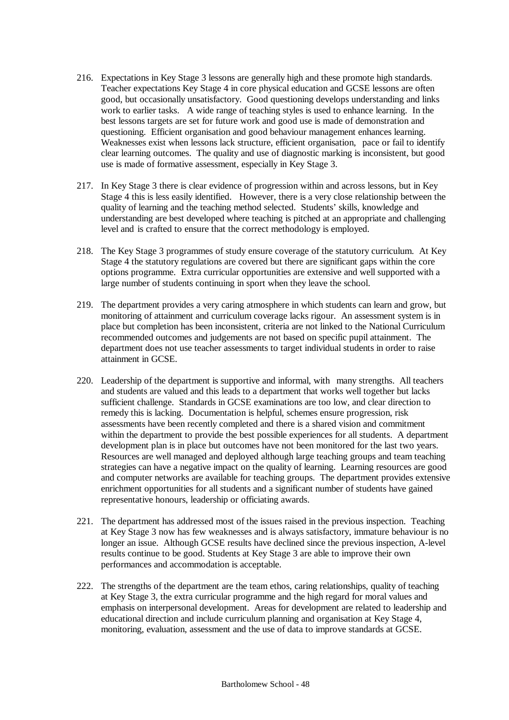- 216. Expectations in Key Stage 3 lessons are generally high and these promote high standards. Teacher expectations Key Stage 4 in core physical education and GCSE lessons are often good, but occasionally unsatisfactory. Good questioning develops understanding and links work to earlier tasks. A wide range of teaching styles is used to enhance learning. In the best lessons targets are set for future work and good use is made of demonstration and questioning. Efficient organisation and good behaviour management enhances learning. Weaknesses exist when lessons lack structure, efficient organisation, pace or fail to identify clear learning outcomes. The quality and use of diagnostic marking is inconsistent, but good use is made of formative assessment, especially in Key Stage 3.
- 217. In Key Stage 3 there is clear evidence of progression within and across lessons, but in Key Stage 4 this is less easily identified. However, there is a very close relationship between the quality of learning and the teaching method selected. Students' skills, knowledge and understanding are best developed where teaching is pitched at an appropriate and challenging level and is crafted to ensure that the correct methodology is employed.
- 218. The Key Stage 3 programmes of study ensure coverage of the statutory curriculum. At Key Stage 4 the statutory regulations are covered but there are significant gaps within the core options programme. Extra curricular opportunities are extensive and well supported with a large number of students continuing in sport when they leave the school.
- 219. The department provides a very caring atmosphere in which students can learn and grow, but monitoring of attainment and curriculum coverage lacks rigour. An assessment system is in place but completion has been inconsistent, criteria are not linked to the National Curriculum recommended outcomes and judgements are not based on specific pupil attainment. The department does not use teacher assessments to target individual students in order to raise attainment in GCSE.
- 220. Leadership of the department is supportive and informal, with many strengths. All teachers and students are valued and this leads to a department that works well together but lacks sufficient challenge. Standards in GCSE examinations are too low, and clear direction to remedy this is lacking. Documentation is helpful, schemes ensure progression, risk assessments have been recently completed and there is a shared vision and commitment within the department to provide the best possible experiences for all students. A department development plan is in place but outcomes have not been monitored for the last two years. Resources are well managed and deployed although large teaching groups and team teaching strategies can have a negative impact on the quality of learning. Learning resources are good and computer networks are available for teaching groups. The department provides extensive enrichment opportunities for all students and a significant number of students have gained representative honours, leadership or officiating awards.
- 221. The department has addressed most of the issues raised in the previous inspection. Teaching at Key Stage 3 now has few weaknesses and is always satisfactory, immature behaviour is no longer an issue. Although GCSE results have declined since the previous inspection, A-level results continue to be good. Students at Key Stage 3 are able to improve their own performances and accommodation is acceptable.
- 222. The strengths of the department are the team ethos, caring relationships, quality of teaching at Key Stage 3, the extra curricular programme and the high regard for moral values and emphasis on interpersonal development. Areas for development are related to leadership and educational direction and include curriculum planning and organisation at Key Stage 4, monitoring, evaluation, assessment and the use of data to improve standards at GCSE.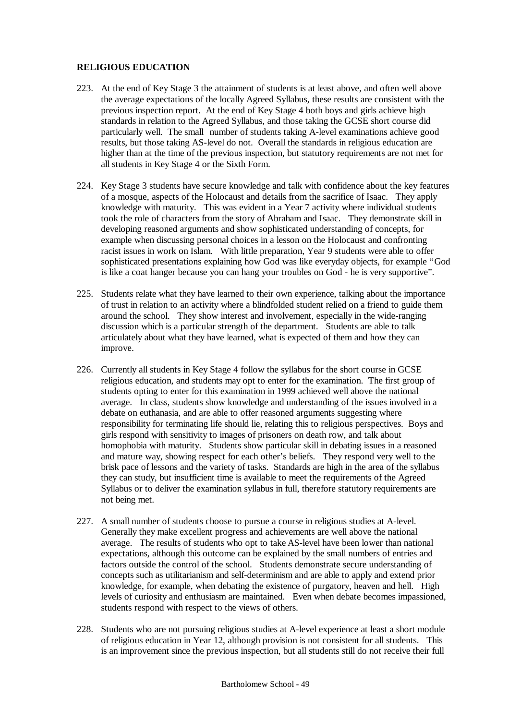# **RELIGIOUS EDUCATION**

- 223. At the end of Key Stage 3 the attainment of students is at least above, and often well above the average expectations of the locally Agreed Syllabus, these results are consistent with the previous inspection report. At the end of Key Stage 4 both boys and girls achieve high standards in relation to the Agreed Syllabus, and those taking the GCSE short course did particularly well. The small number of students taking A-level examinations achieve good results, but those taking AS-level do not. Overall the standards in religious education are higher than at the time of the previous inspection, but statutory requirements are not met for all students in Key Stage 4 or the Sixth Form.
- 224. Key Stage 3 students have secure knowledge and talk with confidence about the key features of a mosque, aspects of the Holocaust and details from the sacrifice of Isaac. They apply knowledge with maturity. This was evident in a Year 7 activity where individual students took the role of characters from the story of Abraham and Isaac. They demonstrate skill in developing reasoned arguments and show sophisticated understanding of concepts, for example when discussing personal choices in a lesson on the Holocaust and confronting racist issues in work on Islam. With little preparation, Year 9 students were able to offer sophisticated presentations explaining how God was like everyday objects, for example "God is like a coat hanger because you can hang your troubles on God - he is very supportive".
- 225. Students relate what they have learned to their own experience, talking about the importance of trust in relation to an activity where a blindfolded student relied on a friend to guide them around the school. They show interest and involvement, especially in the wide-ranging discussion which is a particular strength of the department. Students are able to talk articulately about what they have learned, what is expected of them and how they can improve.
- 226. Currently all students in Key Stage 4 follow the syllabus for the short course in GCSE religious education, and students may opt to enter for the examination. The first group of students opting to enter for this examination in 1999 achieved well above the national average. In class, students show knowledge and understanding of the issues involved in a debate on euthanasia, and are able to offer reasoned arguments suggesting where responsibility for terminating life should lie, relating this to religious perspectives. Boys and girls respond with sensitivity to images of prisoners on death row, and talk about homophobia with maturity. Students show particular skill in debating issues in a reasoned and mature way, showing respect for each other's beliefs. They respond very well to the brisk pace of lessons and the variety of tasks. Standards are high in the area of the syllabus they can study, but insufficient time is available to meet the requirements of the Agreed Syllabus or to deliver the examination syllabus in full, therefore statutory requirements are not being met.
- 227. A small number of students choose to pursue a course in religious studies at A-level. Generally they make excellent progress and achievements are well above the national average. The results of students who opt to take AS-level have been lower than national expectations, although this outcome can be explained by the small numbers of entries and factors outside the control of the school. Students demonstrate secure understanding of concepts such as utilitarianism and self-determinism and are able to apply and extend prior knowledge, for example, when debating the existence of purgatory, heaven and hell. High levels of curiosity and enthusiasm are maintained. Even when debate becomes impassioned, students respond with respect to the views of others.
- 228. Students who are not pursuing religious studies at A-level experience at least a short module of religious education in Year 12, although provision is not consistent for all students. This is an improvement since the previous inspection, but all students still do not receive their full